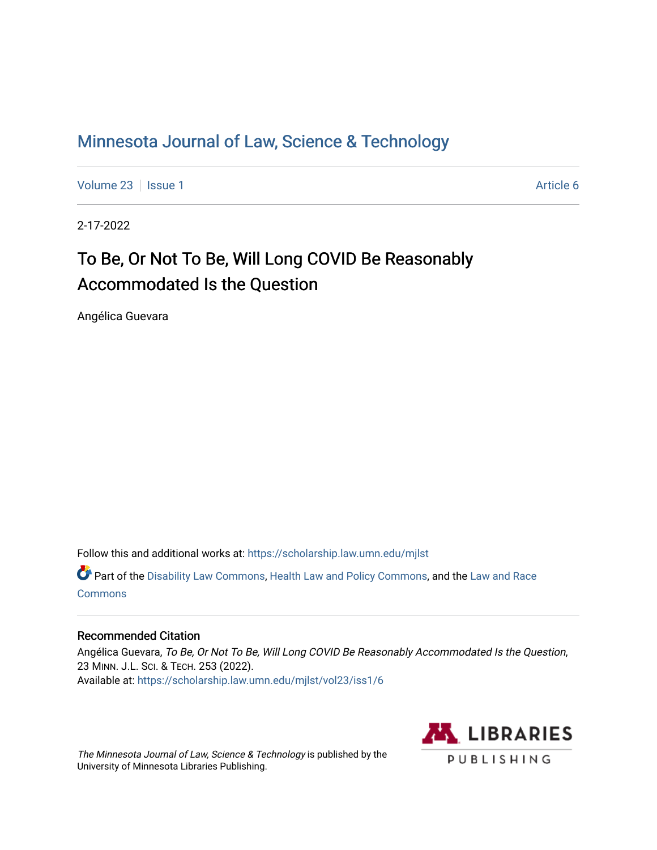# [Minnesota Journal of Law, Science & Technology](https://scholarship.law.umn.edu/mjlst?utm_source=scholarship.law.umn.edu%2Fmjlst%2Fvol23%2Fiss1%2F6&utm_medium=PDF&utm_campaign=PDFCoverPages)

[Volume 23](https://scholarship.law.umn.edu/mjlst/vol23?utm_source=scholarship.law.umn.edu%2Fmjlst%2Fvol23%2Fiss1%2F6&utm_medium=PDF&utm_campaign=PDFCoverPages) | [Issue 1](https://scholarship.law.umn.edu/mjlst/vol23/iss1?utm_source=scholarship.law.umn.edu%2Fmjlst%2Fvol23%2Fiss1%2F6&utm_medium=PDF&utm_campaign=PDFCoverPages) Article 6

2-17-2022

# To Be, Or Not To Be, Will Long COVID Be Reasonably Accommodated Is the Question

Angélica Guevara

Follow this and additional works at: [https://scholarship.law.umn.edu/mjlst](https://scholarship.law.umn.edu/mjlst?utm_source=scholarship.law.umn.edu%2Fmjlst%2Fvol23%2Fiss1%2F6&utm_medium=PDF&utm_campaign=PDFCoverPages) 

Part of the [Disability Law Commons](http://network.bepress.com/hgg/discipline/1074?utm_source=scholarship.law.umn.edu%2Fmjlst%2Fvol23%2Fiss1%2F6&utm_medium=PDF&utm_campaign=PDFCoverPages), [Health Law and Policy Commons](http://network.bepress.com/hgg/discipline/901?utm_source=scholarship.law.umn.edu%2Fmjlst%2Fvol23%2Fiss1%2F6&utm_medium=PDF&utm_campaign=PDFCoverPages), and the [Law and Race](http://network.bepress.com/hgg/discipline/1300?utm_source=scholarship.law.umn.edu%2Fmjlst%2Fvol23%2Fiss1%2F6&utm_medium=PDF&utm_campaign=PDFCoverPages) **[Commons](http://network.bepress.com/hgg/discipline/1300?utm_source=scholarship.law.umn.edu%2Fmjlst%2Fvol23%2Fiss1%2F6&utm_medium=PDF&utm_campaign=PDFCoverPages)** 

# Recommended Citation

Angélica Guevara, To Be, Or Not To Be, Will Long COVID Be Reasonably Accommodated Is the Question, 23 MINN. J.L. SCI. & TECH. 253 (2022). Available at: [https://scholarship.law.umn.edu/mjlst/vol23/iss1/6](https://scholarship.law.umn.edu/mjlst/vol23/iss1/6?utm_source=scholarship.law.umn.edu%2Fmjlst%2Fvol23%2Fiss1%2F6&utm_medium=PDF&utm_campaign=PDFCoverPages) 

The Minnesota Journal of Law, Science & Technology is published by the University of Minnesota Libraries Publishing.

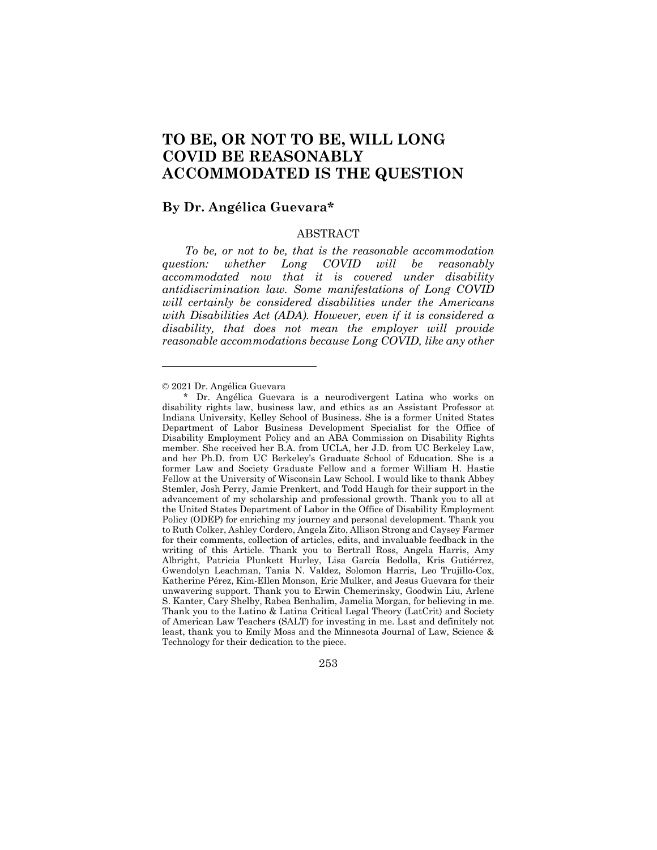# **TO BE, OR NOT TO BE, WILL LONG COVID BE REASONABLY ACCOMMODATED IS THE QUESTION**

# **By Dr. Angélica Guevara\***

### ABSTRACT

*To be, or not to be, that is the reasonable accommodation question: whether Long COVID will be reasonably accommodated now that it is covered under disability antidiscrimination law. Some manifestations of Long COVID will certainly be considered disabilities under the Americans with Disabilities Act (ADA). However, even if it is considered a disability, that does not mean the employer will provide reasonable accommodations because Long COVID, like any other* 

<sup>\*</sup> Dr. Angélica Guevara is a neurodivergent Latina who works on disability rights law, business law, and ethics as an Assistant Professor at Indiana University, Kelley School of Business. She is a former United States Department of Labor Business Development Specialist for the Office of Disability Employment Policy and an ABA Commission on Disability Rights member. She received her B.A. from UCLA, her J.D. from UC Berkeley Law, and her Ph.D. from UC Berkeley's Graduate School of Education. She is a former Law and Society Graduate Fellow and a former William H. Hastie Fellow at the University of Wisconsin Law School. I would like to thank Abbey Stemler, Josh Perry, Jamie Prenkert, and Todd Haugh for their support in the advancement of my scholarship and professional growth. Thank you to all at the United States Department of Labor in the Office of Disability Employment Policy (ODEP) for enriching my journey and personal development. Thank you to Ruth Colker, Ashley Cordero, Angela Zito, Allison Strong and Caysey Farmer for their comments, collection of articles, edits, and invaluable feedback in the writing of this Article. Thank you to Bertrall Ross, Angela Harris, Amy Albright, Patricia Plunkett Hurley, Lisa García Bedolla, Kris Gutiérrez, Gwendolyn Leachman, Tania N. Valdez, Solomon Harris, Leo Trujillo-Cox, Katherine Pérez, Kim-Ellen Monson, Eric Mulker, and Jesus Guevara for their unwavering support. Thank you to Erwin Chemerinsky, Goodwin Liu, Arlene S. Kanter, Cary Shelby, Rabea Benhalim, Jamelia Morgan, for believing in me. Thank you to the Latino & Latina Critical Legal Theory (LatCrit) and Society of American Law Teachers (SALT) for investing in me. Last and definitely not least, thank you to Emily Moss and the Minnesota Journal of Law, Science & Technology for their dedication to the piece.



<sup>© 2021</sup> Dr. Angélica Guevara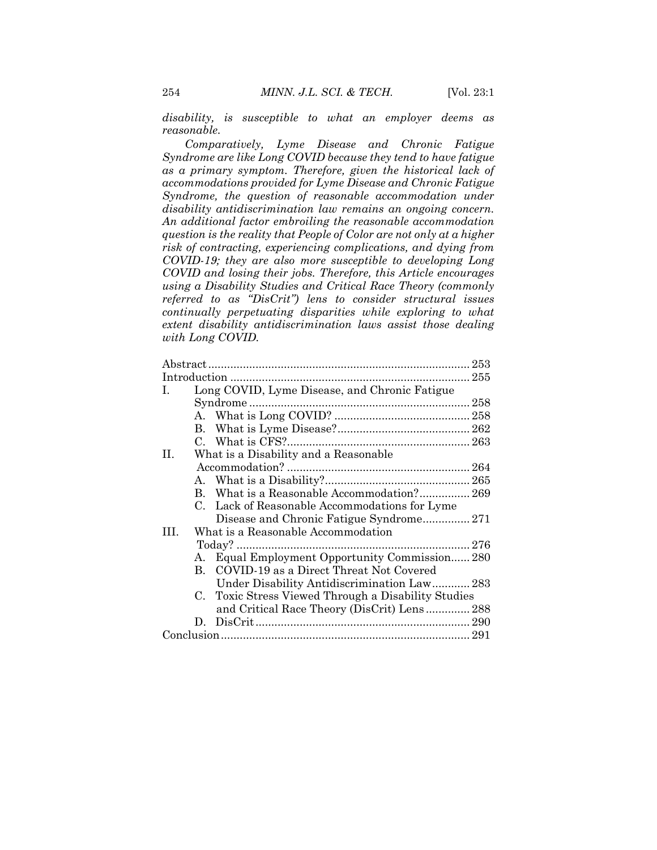*disability, is susceptible to what an employer deems as reasonable.*

*Comparatively, Lyme Disease and Chronic Fatigue Syndrome are like Long COVID because they tend to have fatigue as a primary symptom. Therefore, given the historical lack of accommodations provided for Lyme Disease and Chronic Fatigue Syndrome, the question of reasonable accommodation under disability antidiscrimination law remains an ongoing concern. An additional factor embroiling the reasonable accommodation question is the reality that People of Color are not only at a higher risk of contracting, experiencing complications, and dying from COVID-19; they are also more susceptible to developing Long COVID and losing their jobs. Therefore, this Article encourages using a Disability Studies and Critical Race Theory (commonly referred to as "DisCrit") lens to consider structural issues continually perpetuating disparities while exploring to what extent disability antidiscrimination laws assist those dealing with Long COVID.*

| $\mathbf{I}$ . | Long COVID, Lyme Disease, and Chronic Fatigue |                                                  |  |
|----------------|-----------------------------------------------|--------------------------------------------------|--|
|                |                                               |                                                  |  |
|                |                                               |                                                  |  |
|                |                                               |                                                  |  |
|                |                                               |                                                  |  |
| H.             | What is a Disability and a Reasonable         |                                                  |  |
|                |                                               |                                                  |  |
|                |                                               |                                                  |  |
|                |                                               | B. What is a Reasonable Accommodation? 269       |  |
|                |                                               | C. Lack of Reasonable Accommodations for Lyme    |  |
|                |                                               |                                                  |  |
| TH.            |                                               | What is a Reasonable Accommodation               |  |
|                |                                               |                                                  |  |
|                |                                               | A. Equal Employment Opportunity Commission 280   |  |
|                |                                               | B. COVID-19 as a Direct Threat Not Covered       |  |
|                |                                               | Under Disability Antidiscrimination Law 283      |  |
|                | $C_{\cdot}$                                   | Toxic Stress Viewed Through a Disability Studies |  |
|                |                                               | and Critical Race Theory (DisCrit) Lens 288      |  |
|                |                                               |                                                  |  |
|                |                                               |                                                  |  |
|                |                                               |                                                  |  |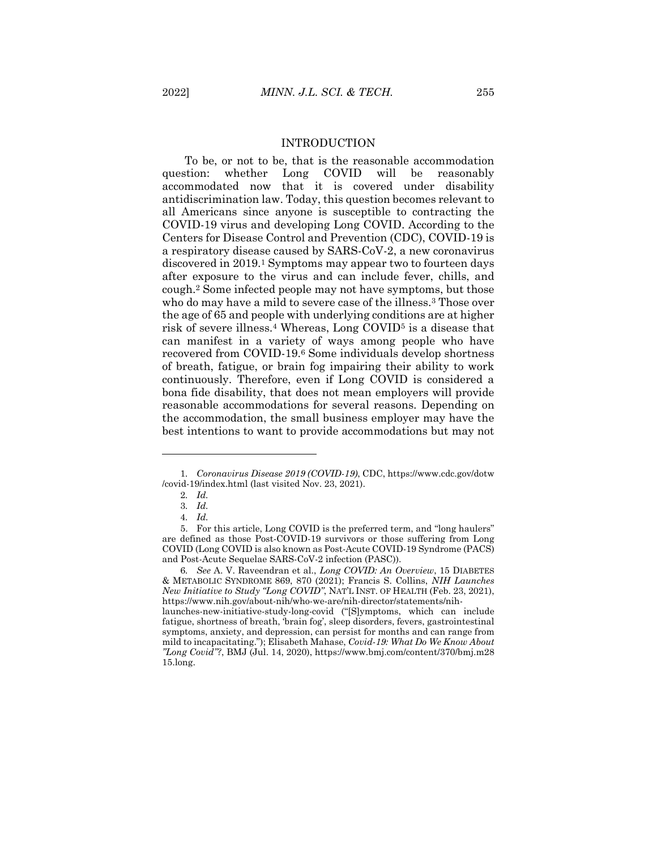#### INTRODUCTION

To be, or not to be, that is the reasonable accommodation question: whether Long COVID will be reasonably accommodated now that it is covered under disability antidiscrimination law. Today, this question becomes relevant to all Americans since anyone is susceptible to contracting the COVID-19 virus and developing Long COVID. According to the Centers for Disease Control and Prevention (CDC), COVID-19 is a respiratory disease caused by SARS-CoV-2, a new coronavirus discovered in 2019.<sup>1</sup> Symptoms may appear two to fourteen days after exposure to the virus and can include fever, chills, and cough.<sup>2</sup> Some infected people may not have symptoms, but those who do may have a mild to severe case of the illness.<sup>3</sup> Those over the age of 65 and people with underlying conditions are at higher risk of severe illness.<sup>4</sup> Whereas, Long COVID<sup>5</sup> is a disease that can manifest in a variety of ways among people who have recovered from COVID-19.<sup>6</sup> Some individuals develop shortness of breath, fatigue, or brain fog impairing their ability to work continuously. Therefore, even if Long COVID is considered a bona fide disability, that does not mean employers will provide reasonable accommodations for several reasons. Depending on the accommodation, the small business employer may have the best intentions to want to provide accommodations but may not

<sup>1</sup>*. Coronavirus Disease 2019 (COVID-19)*, CDC, https://www.cdc.gov/dotw /covid-19/index.html (last visited Nov. 23, 2021).

<sup>2</sup>*. Id.*

<sup>3</sup>*. Id.*

<sup>4</sup>*. Id.*

<sup>5.</sup> For this article, Long COVID is the preferred term, and "long haulers" are defined as those Post-COVID-19 survivors or those suffering from Long COVID (Long COVID is also known as Post-Acute COVID-19 Syndrome (PACS) and Post-Acute Sequelae SARS-CoV-2 infection (PASC)).

<sup>6</sup>*. See* A. V. Raveendran et al., *Long COVID: An Overview*, 15 DIABETES & METABOLIC SYNDROME 869, 870 (2021); Francis S. Collins, *NIH Launches New Initiative to Study "Long COVID"*, NAT'L INST. OF HEALTH (Feb. 23, 2021), https://www.nih.gov/about-nih/who-we-are/nih-director/statements/nih-

launches-new-initiative-study-long-covid ("[S]ymptoms, which can include fatigue, shortness of breath, 'brain fog', sleep disorders, fevers, gastrointestinal symptoms, anxiety, and depression, can persist for months and can range from mild to incapacitating."); Elisabeth Mahase, *Covid-19: What Do We Know About "Long Covid"?*, BMJ (Jul. 14, 2020), https://www.bmj.com/content/370/bmj.m28 15.long.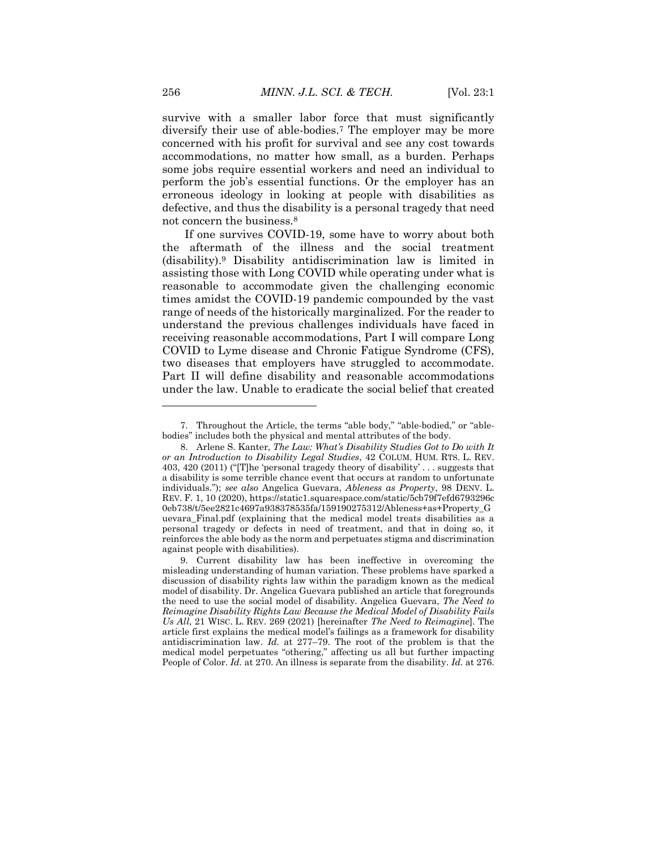survive with a smaller labor force that must significantly diversify their use of able-bodies.<sup>7</sup> The employer may be more concerned with his profit for survival and see any cost towards accommodations, no matter how small, as a burden. Perhaps some jobs require essential workers and need an individual to perform the job's essential functions. Or the employer has an erroneous ideology in looking at people with disabilities as defective, and thus the disability is a personal tragedy that need not concern the business.<sup>8</sup>

If one survives COVID-19, some have to worry about both the aftermath of the illness and the social treatment (disability).<sup>9</sup> Disability antidiscrimination law is limited in assisting those with Long COVID while operating under what is reasonable to accommodate given the challenging economic times amidst the COVID-19 pandemic compounded by the vast range of needs of the historically marginalized. For the reader to understand the previous challenges individuals have faced in receiving reasonable accommodations, Part I will compare Long COVID to Lyme disease and Chronic Fatigue Syndrome (CFS), two diseases that employers have struggled to accommodate. Part II will define disability and reasonable accommodations under the law. Unable to eradicate the social belief that created

<sup>7.</sup> Throughout the Article, the terms "able body," "able-bodied," or "ablebodies" includes both the physical and mental attributes of the body.

<sup>8.</sup> Arlene S. Kanter, *The Law: What's Disability Studies Got to Do with It or an Introduction to Disability Legal Studies*, 42 COLUM. HUM. RTS. L. REV. 403, 420 (2011) ("[T]he 'personal tragedy theory of disability' . . . suggests that a disability is some terrible chance event that occurs at random to unfortunate individuals."); *see also* Angelica Guevara, *Ableness as Property*, 98 DENV. L. REV. F. 1, 10 (2020), https://static1.squarespace.com/static/5cb79f7efd6793296c 0eb738/t/5ee2821c4697a938378535fa/159190275312/Ableness+as+Property\_G uevara\_Final.pdf (explaining that the medical model treats disabilities as a personal tragedy or defects in need of treatment, and that in doing so, it reinforces the able body as the norm and perpetuates stigma and discrimination against people with disabilities).

<sup>9.</sup> Current disability law has been ineffective in overcoming the misleading understanding of human variation. These problems have sparked a discussion of disability rights law within the paradigm known as the medical model of disability. Dr. Angelica Guevara published an article that foregrounds the need to use the social model of disability. Angelica Guevara, *The Need to Reimagine Disability Rights Law Because the Medical Model of Disability Fails Us All*, 21 WISC. L. REV. 269 (2021) [hereinafter *The Need to Reimagine*]. The article first explains the medical model's failings as a framework for disability antidiscrimination law. *Id.* at 277–79. The root of the problem is that the medical model perpetuates "othering," affecting us all but further impacting People of Color. *Id.* at 270. An illness is separate from the disability. *Id.* at 276.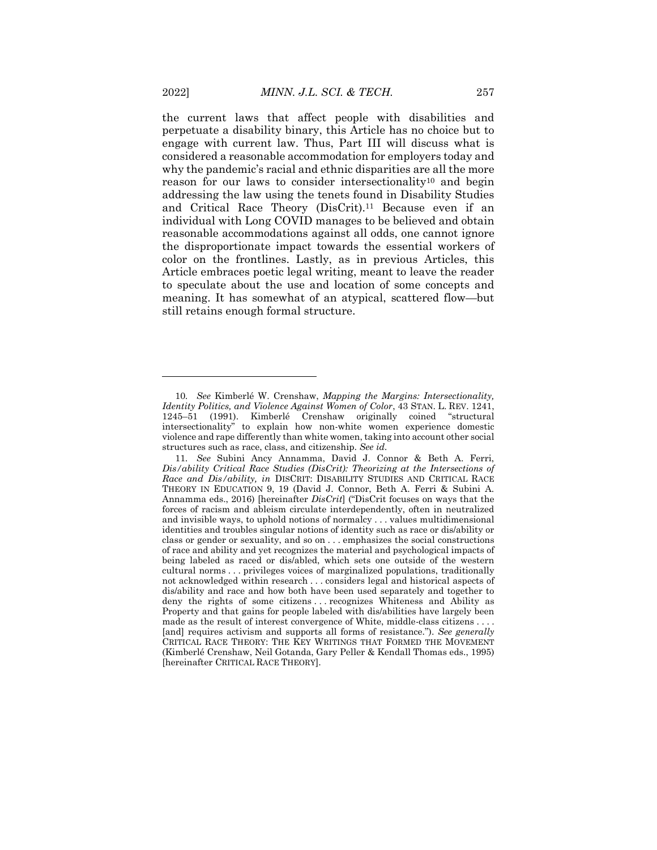the current laws that affect people with disabilities and perpetuate a disability binary, this Article has no choice but to engage with current law. Thus, Part III will discuss what is considered a reasonable accommodation for employers today and why the pandemic's racial and ethnic disparities are all the more reason for our laws to consider intersectionality<sup>10</sup> and begin addressing the law using the tenets found in Disability Studies and Critical Race Theory (DisCrit).<sup>11</sup> Because even if an individual with Long COVID manages to be believed and obtain reasonable accommodations against all odds, one cannot ignore the disproportionate impact towards the essential workers of color on the frontlines. Lastly, as in previous Articles, this Article embraces poetic legal writing, meant to leave the reader to speculate about the use and location of some concepts and meaning. It has somewhat of an atypical, scattered flow—but still retains enough formal structure.

<sup>10</sup>*. See* Kimberlé W. Crenshaw, *Mapping the Margins: Intersectionality, Identity Politics, and Violence Against Women of Color*, 43 STAN. L. REV. 1241, 1245–51 (1991). Kimberlé Crenshaw originally coined "structural intersectionality" to explain how non-white women experience domestic violence and rape differently than white women, taking into account other social structures such as race, class, and citizenship. *See id.*

<sup>11</sup>*. See* Subini Ancy Annamma, David J. Connor & Beth A. Ferri, Dis/ability Critical Race Studies (DisCrit): Theorizing at the Intersections of *Race and Dis/ability, in* DISCRIT: DISABILITY STUDIES AND CRITICAL RACE THEORY IN EDUCATION 9, 19 (David J. Connor, Beth A. Ferri & Subini A. Annamma eds., 2016) [hereinafter *DisCrit*] ("DisCrit focuses on ways that the forces of racism and ableism circulate interdependently, often in neutralized and invisible ways, to uphold notions of normalcy . . . values multidimensional identities and troubles singular notions of identity such as race or dis/ability or class or gender or sexuality, and so on . . . emphasizes the social constructions of race and ability and yet recognizes the material and psychological impacts of being labeled as raced or dis/abled, which sets one outside of the western cultural norms . . . privileges voices of marginalized populations, traditionally not acknowledged within research . . . considers legal and historical aspects of dis/ability and race and how both have been used separately and together to deny the rights of some citizens . . . recognizes Whiteness and Ability as Property and that gains for people labeled with dis/abilities have largely been made as the result of interest convergence of White, middle-class citizens . . . . [and] requires activism and supports all forms of resistance."). *See generally* CRITICAL RACE THEORY: THE KEY WRITINGS THAT FORMED THE MOVEMENT (Kimberlé Crenshaw, Neil Gotanda, Gary Peller & Kendall Thomas eds., 1995) [hereinafter CRITICAL RACE THEORY].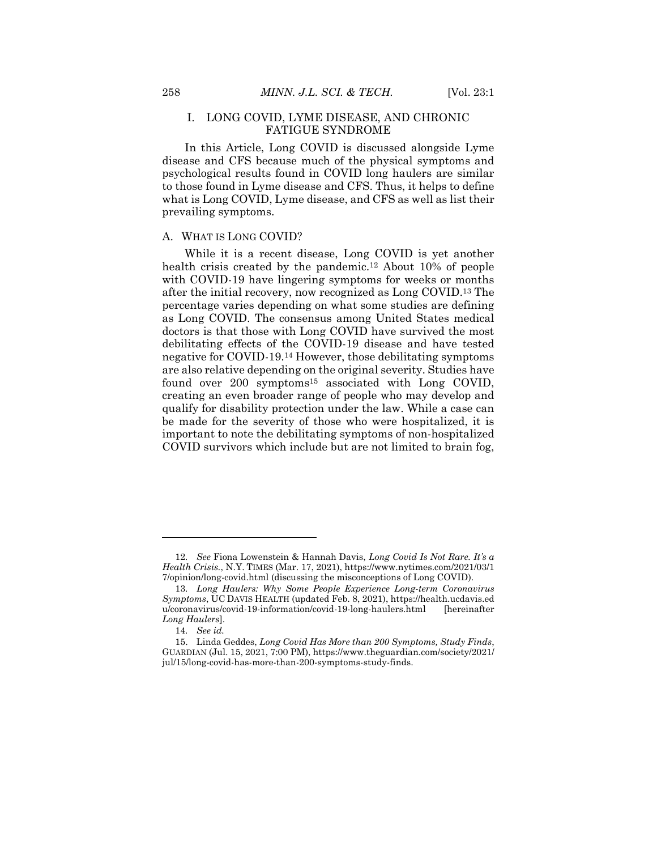#### I. LONG COVID, LYME DISEASE, AND CHRONIC FATIGUE SYNDROME

In this Article, Long COVID is discussed alongside Lyme disease and CFS because much of the physical symptoms and psychological results found in COVID long haulers are similar to those found in Lyme disease and CFS. Thus, it helps to define what is Long COVID, Lyme disease, and CFS as well as list their prevailing symptoms.

#### A. WHAT IS LONG COVID?

While it is a recent disease, Long COVID is yet another health crisis created by the pandemic.<sup>12</sup> About 10% of people with COVID-19 have lingering symptoms for weeks or months after the initial recovery, now recognized as Long COVID.<sup>13</sup> The percentage varies depending on what some studies are defining as Long COVID. The consensus among United States medical doctors is that those with Long COVID have survived the most debilitating effects of the COVID-19 disease and have tested negative for COVID-19.<sup>14</sup> However, those debilitating symptoms are also relative depending on the original severity. Studies have found over 200 symptoms<sup>15</sup> associated with Long COVID, creating an even broader range of people who may develop and qualify for disability protection under the law. While a case can be made for the severity of those who were hospitalized, it is important to note the debilitating symptoms of non-hospitalized COVID survivors which include but are not limited to brain fog,

<sup>12</sup>*. See* Fiona Lowenstein & Hannah Davis, *Long Covid Is Not Rare. It's a Health Crisis.*, N.Y. TIMES (Mar. 17, 2021), https://www.nytimes.com/2021/03/1 7/opinion/long-covid.html (discussing the misconceptions of Long COVID).

<sup>13</sup>*. Long Haulers: Why Some People Experience Long-term Coronavirus Symptoms*, UC DAVIS HEALTH (updated Feb. 8, 2021), https://health.ucdavis.ed u/coronavirus/covid-19-information/covid-19-long-haulers.html [hereinafter *Long Haulers*].

<sup>14</sup>*. See id.*

<sup>15.</sup> Linda Geddes, *Long Covid Has More than 200 Symptoms, Study Finds*, GUARDIAN (Jul. 15, 2021, 7:00 PM), https://www.theguardian.com/society/2021/ jul/15/long-covid-has-more-than-200-symptoms-study-finds.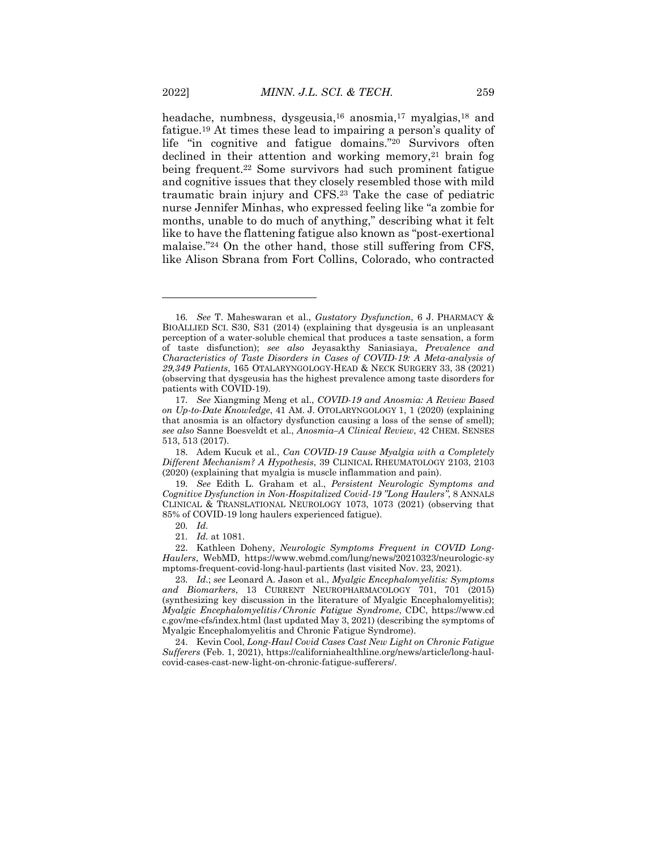headache, numbness, dysgeusia,<sup>16</sup> anosmia,<sup>17</sup> myalgias,<sup>18</sup> and fatigue.<sup>19</sup> At times these lead to impairing a person's quality of life "in cognitive and fatigue domains."<sup>20</sup> Survivors often declined in their attention and working memory, $21$  brain fog being frequent.<sup>22</sup> Some survivors had such prominent fatigue and cognitive issues that they closely resembled those with mild traumatic brain injury and CFS.<sup>23</sup> Take the case of pediatric nurse Jennifer Minhas, who expressed feeling like "a zombie for months, unable to do much of anything," describing what it felt like to have the flattening fatigue also known as "post-exertional malaise."<sup>24</sup> On the other hand, those still suffering from CFS, like Alison Sbrana from Fort Collins, Colorado, who contracted

<sup>16</sup>*. See* T. Maheswaran et al., *Gustatory Dysfunction*, 6 J. PHARMACY & BIOALLIED SCI. S30, S31 (2014) (explaining that dysgeusia is an unpleasant perception of a water-soluble chemical that produces a taste sensation, a form of taste disfunction); *see also* Jeyasakthy Saniasiaya, *Prevalence and Characteristics of Taste Disorders in Cases of COVID-19: A Meta-analysis of 29,349 Patients*, 165 OTALARYNGOLOGY-HEAD & NECK SURGERY 33, 38 (2021) (observing that dysgeusia has the highest prevalence among taste disorders for patients with COVID-19).

<sup>17</sup>*. See* Xiangming Meng et al., *COVID-19 and Anosmia: A Review Based on Up-to-Date Knowledge*, 41 AM. J. OTOLARYNGOLOGY 1, 1 (2020) (explaining that anosmia is an olfactory dysfunction causing a loss of the sense of smell); *see also* Sanne Boesveldt et al., *Anosmia–A Clinical Review*, 42 CHEM. SENSES 513, 513 (2017).

<sup>18.</sup> Adem Kucuk et al., *Can COVID-19 Cause Myalgia with a Completely Different Mechanism? A Hypothesis*, 39 CLINICAL RHEUMATOLOGY 2103, 2103 (2020) (explaining that myalgia is muscle inflammation and pain).

<sup>19</sup>*. See* Edith L. Graham et al., *Persistent Neurologic Symptoms and Cognitive Dysfunction in Non-Hospitalized Covid-19 "Long Haulers"*, 8 ANNALS CLINICAL & TRANSLATIONAL NEUROLOGY 1073, 1073 (2021) (observing that 85% of COVID-19 long haulers experienced fatigue).

<sup>20</sup>*. Id.*

<sup>21</sup>*. Id.* at 1081.

<sup>22.</sup> Kathleen Doheny, *Neurologic Symptoms Frequent in COVID Long-Haulers*, WebMD, https://www.webmd.com/lung/news/20210323/neurologic-sy mptoms-frequent-covid-long-haul-partients (last visited Nov. 23, 2021).

<sup>23</sup>*. Id*.; *see* Leonard A. Jason et al., *Myalgic Encephalomyelitis: Symptoms and Biomarkers*, 13 CURRENT NEUROPHARMACOLOGY 701, 701 (2015) (synthesizing key discussion in the literature of Myalgic Encephalomyelitis); *Myalgic Encephalomyelitis/Chronic Fatigue Syndrome*, CDC, https://www.cd c.gov/me-cfs/index.html (last updated May 3, 2021) (describing the symptoms of Myalgic Encephalomyelitis and Chronic Fatigue Syndrome).

<sup>24.</sup> Kevin Cool, *Long-Haul Covid Cases Cast New Light on Chronic Fatigue Sufferers* (Feb. 1, 2021), https://californiahealthline.org/news/article/long-haulcovid-cases-cast-new-light-on-chronic-fatigue-sufferers/.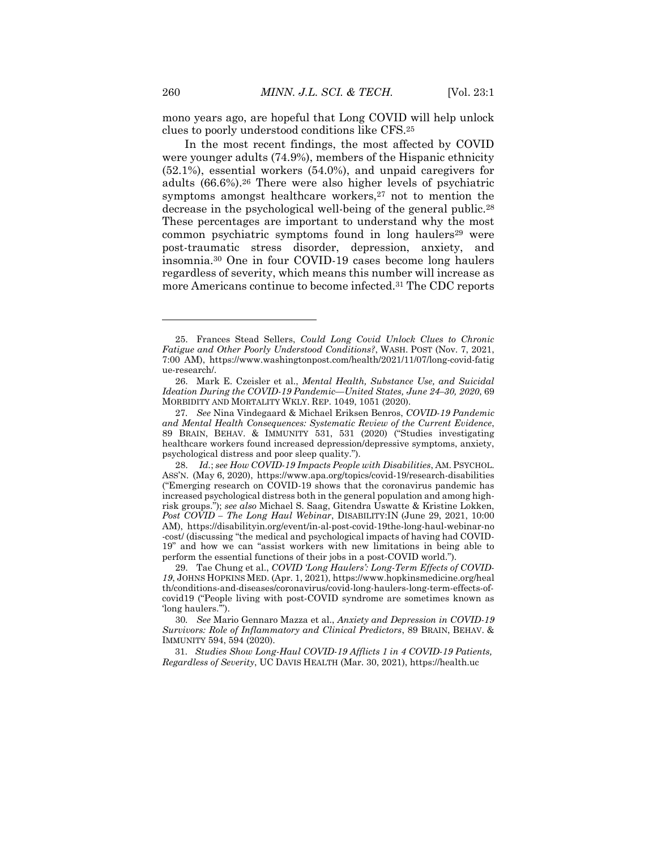mono years ago, are hopeful that Long COVID will help unlock clues to poorly understood conditions like CFS.<sup>25</sup>

In the most recent findings, the most affected by COVID were younger adults (74.9%), members of the Hispanic ethnicity (52.1%), essential workers (54.0%), and unpaid caregivers for adults (66.6%).<sup>26</sup> There were also higher levels of psychiatric symptoms amongst healthcare workers,<sup>27</sup> not to mention the decrease in the psychological well-being of the general public.<sup>28</sup> These percentages are important to understand why the most common psychiatric symptoms found in long haulers<sup>29</sup> were post-traumatic stress disorder, depression, anxiety, and insomnia.<sup>30</sup> One in four COVID-19 cases become long haulers regardless of severity, which means this number will increase as more Americans continue to become infected.<sup>31</sup> The CDC reports

 $\overline{a}$ 

<sup>25.</sup> Frances Stead Sellers, *Could Long Covid Unlock Clues to Chronic Fatigue and Other Poorly Understood Conditions?*, WASH. POST (Nov. 7, 2021, 7:00 AM), https://www.washingtonpost.com/health/2021/11/07/long-covid-fatig ue-research/.

<sup>26.</sup> Mark E. Czeisler et al., *Mental Health, Substance Use, and Suicidal Ideation During the COVID-19 Pandemic—United States, June 24–30, 2020*, 69 MORBIDITY AND MORTALITY WKLY. REP. 1049, 1051 (2020).

<sup>27</sup>*. See* Nina Vindegaard & Michael Eriksen Benros, *COVID-19 Pandemic and Mental Health Consequences: Systematic Review of the Current Evidence*, 89 BRAIN, BEHAV. & IMMUNITY 531, 531 (2020) ("Studies investigating healthcare workers found increased depression/depressive symptoms, anxiety, psychological distress and poor sleep quality.").

<sup>28.</sup> *Id.*; *see How COVID-19 Impacts People with Disabilities*, AM. PSYCHOL. ASS'N. (May 6, 2020), https://www.apa.org/topics/covid-19/research-disabilities ("Emerging research on COVID-19 shows that the coronavirus pandemic has increased psychological distress both in the general population and among highrisk groups."); *see also* Michael S. Saag, Gitendra Uswatte & Kristine Lokken, *Post COVID – The Long Haul Webinar*, DISABILITY:IN (June 29, 2021, 10:00 AM), https://disabilityin.org/event/in-al-post-covid-19the-long-haul-webinar-no -cost/ (discussing "the medical and psychological impacts of having had COVID-19" and how we can "assist workers with new limitations in being able to perform the essential functions of their jobs in a post-COVID world.").

<sup>29.</sup> Tae Chung et al., *COVID 'Long Haulers': Long-Term Effects of COVID-19*, JOHNS HOPKINS MED. (Apr. 1, 2021), https://www.hopkinsmedicine.org/heal th/conditions-and-diseases/coronavirus/covid-long-haulers-long-term-effects-ofcovid19 ("People living with post-COVID syndrome are sometimes known as 'long haulers.'").

<sup>30</sup>*. See* Mario Gennaro Mazza et al., *Anxiety and Depression in COVID-19 Survivors: Role of Inflammatory and Clinical Predictors*, 89 BRAIN, BEHAV. & IMMUNITY 594, 594 (2020).

 <sup>31.</sup> *Studies Show Long-Haul COVID-19 Afflicts 1 in 4 COVID-19 Patients, Regardless of Severity*, UC DAVIS HEALTH (Mar. 30, 2021), https://health.uc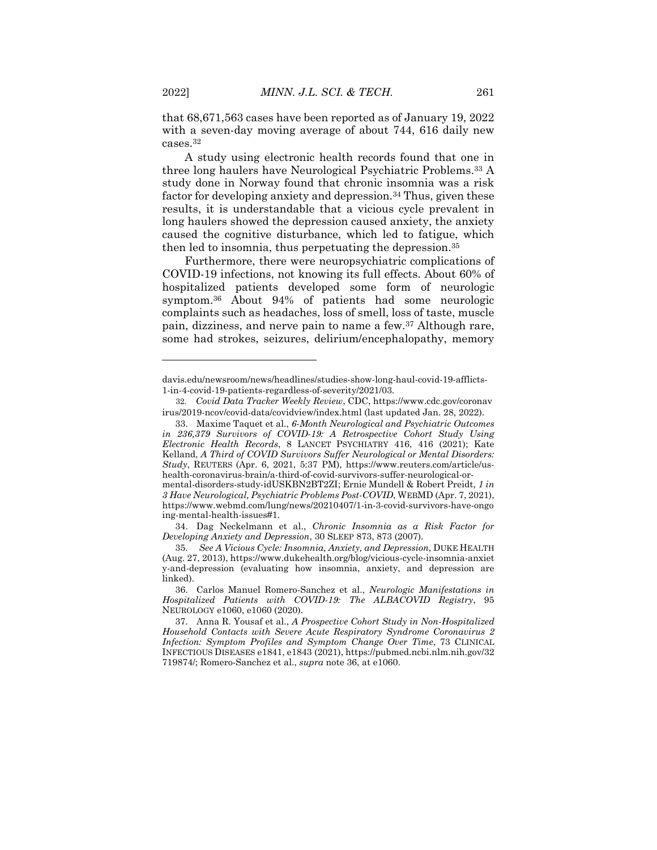that 68,671,563 cases have been reported as of January 19, 2022 with a seven-day moving average of about 744, 616 daily new cases.<sup>32</sup>

A study using electronic health records found that one in three long haulers have Neurological Psychiatric Problems.<sup>33</sup> A study done in Norway found that chronic insomnia was a risk factor for developing anxiety and depression.<sup>34</sup> Thus, given these results, it is understandable that a vicious cycle prevalent in long haulers showed the depression caused anxiety, the anxiety caused the cognitive disturbance, which led to fatigue, which then led to insomnia, thus perpetuating the depression.<sup>35</sup>

Furthermore, there were neuropsychiatric complications of COVID-19 infections, not knowing its full effects. About 60% of hospitalized patients developed some form of neurologic symptom.<sup>36</sup> About 94% of patients had some neurologic complaints such as headaches, loss of smell, loss of taste, muscle pain, dizziness, and nerve pain to name a few.<sup>37</sup> Although rare, some had strokes, seizures, delirium/encephalopathy, memory

davis.edu/newsroom/news/headlines/studies-show-long-haul-covid-19-afflicts-1-in-4-covid-19-patients-regardless-of-severity/2021/03.

 <sup>32.</sup> *Covid Data Tracker Weekly Review*, CDC, https://www.cdc.gov/coronav irus/2019-ncov/covid-data/covidview/index.html (last updated Jan. 28, 2022).

<sup>33.</sup> Maxime Taquet et al., *6-Month Neurological and Psychiatric Outcomes in 236,379 Survivors of COVID-19: A Retrospective Cohort Study Using Electronic Health Records*, 8 LANCET PSYCHIATRY 416, 416 (2021); Kate Kelland, *A Third of COVID Survivors Suffer Neurological or Mental Disorders: Study*, REUTERS (Apr. 6, 2021, 5:37 PM), https://www.reuters.com/article/ushealth-coronavirus-brain/a-third-of-covid-survivors-suffer-neurological-or-

mental-disorders-study-idUSKBN2BT2ZI; Ernie Mundell & Robert Preidt, *1 in 3 Have Neurological, Psychiatric Problems Post-COVID*, WEBMD (Apr. 7, 2021), https://www.webmd.com/lung/news/20210407/1-in-3-covid-survivors-have-ongo ing-mental-health-issues#1.

<sup>34.</sup> Dag Neckelmann et al., *Chronic Insomnia as a Risk Factor for Developing Anxiety and Depression*, 30 SLEEP 873, 873 (2007).

<sup>35.</sup> *See A Vicious Cycle: Insomnia, Anxiety, and Depression*, DUKE HEALTH (Aug. 27, 2013), https://www.dukehealth.org/blog/vicious-cycle-insomnia-anxiet y-and-depression (evaluating how insomnia, anxiety, and depression are linked).

<sup>36.</sup> Carlos Manuel Romero-Sanchez et al., *Neurologic Manifestations in Hospitalized Patients with COVID-19: The ALBACOVID Registry*, 95 NEUROLOGY e1060, e1060 (2020).

<sup>37.</sup> Anna R. Yousaf et al., *A Prospective Cohort Study in Non-Hospitalized Household Contacts with Severe Acute Respiratory Syndrome Coronavirus 2 Infection: Symptom Profiles and Symptom Change Over Time*, 73 CLINICAL INFECTIOUS DISEASES e1841, e1843 (2021), https://pubmed.ncbi.nlm.nih.gov/32 719874/; Romero-Sanchez et al., *supra* note 36, at e1060.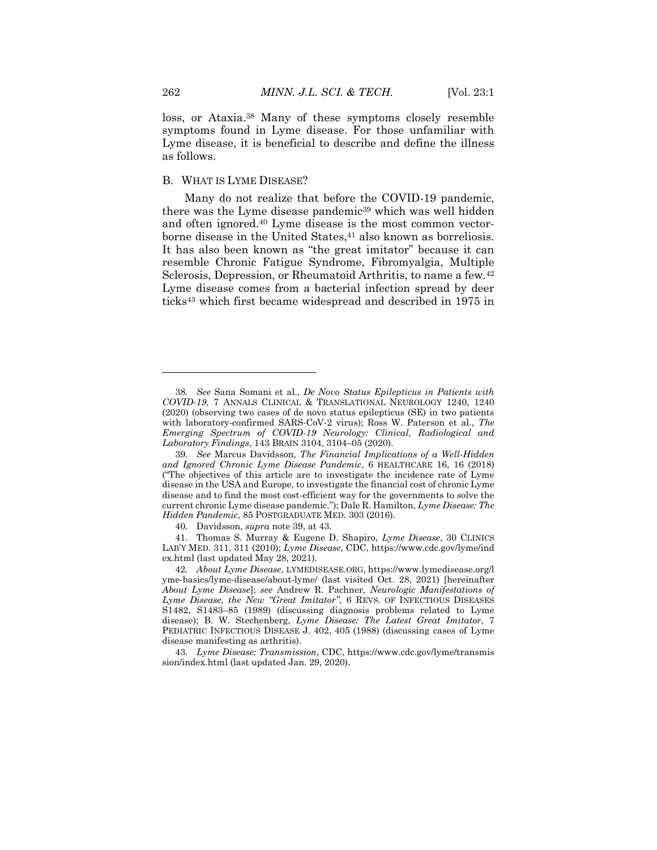loss, or Ataxia.<sup>38</sup> Many of these symptoms closely resemble symptoms found in Lyme disease. For those unfamiliar with Lyme disease, it is beneficial to describe and define the illness as follows.

#### B. WHAT IS LYME DISEASE?

Many do not realize that before the COVID-19 pandemic, there was the Lyme disease pandemic<sup>39</sup> which was well hidden and often ignored.<sup>40</sup> Lyme disease is the most common vectorborne disease in the United States,<sup>41</sup> also known as borreliosis. It has also been known as "the great imitator" because it can resemble Chronic Fatigue Syndrome, Fibromyalgia, Multiple Sclerosis, Depression, or Rheumatoid Arthritis, to name a few.<sup>42</sup> Lyme disease comes from a bacterial infection spread by deer ticks<sup>43</sup> which first became widespread and described in 1975 in

<sup>38</sup>*. See* Sana Somani et al., *De Novo Status Epilepticus in Patients with COVID-19*, 7 ANNALS CLINICAL & TRANSLATIONAL NEUROLOGY 1240, 1240 (2020) (observing two cases of de novo status epilepticus (SE) in two patients with laboratory-confirmed SARS-CoV-2 virus); Ross W. Paterson et al., *The Emerging Spectrum of COVID-19 Neurology: Clinical, Radiological and Laboratory Findings*, 143 BRAIN 3104, 3104–05 (2020).

<sup>39</sup>*. See* Marcus Davidsson, *The Financial Implications of a Well-Hidden and Ignored Chronic Lyme Disease Pandemic*, 6 HEALTHCARE 16, 16 (2018) ("The objectives of this article are to investigate the incidence rate of Lyme disease in the USA and Europe, to investigate the financial cost of chronic Lyme disease and to find the most cost-efficient way for the governments to solve the current chronic Lyme disease pandemic."); Dale R. Hamilton, *Lyme Disease: The Hidden Pandemic*, 85 POSTGRADUATE MED. 303 (2016).

<sup>40</sup>*.* Davidsson, *supra* note 39, at 43.

<sup>41.</sup> Thomas S. Murray & Eugene D. Shapiro, *Lyme Disease*, 30 CLINICS LAB'Y MED. 311, 311 (2010); *Lyme Disease*, CDC, https://www.cdc.gov/lyme/ind ex.html (last updated May 28, 2021).

<sup>42</sup>*. About Lyme Disease*, LYMEDISEASE.ORG, https://www.lymedisease.org/l yme-basics/lyme-disease/about-lyme/ (last visited Oct. 28, 2021) [hereinafter *About Lyme Disease*]; *see* Andrew R. Pachner, *Neurologic Manifestations of Lyme Disease, the New "Great Imitator"*, 6 REVS. OF INFECTIOUS DISEASES S1482, S1483–85 (1989) (discussing diagnosis problems related to Lyme disease); B. W. Stechenberg, *Lyme Disease: The Latest Great Imitator*, 7 PEDIATRIC INFECTIOUS DISEASE J. 402, 405 (1988) (discussing cases of Lyme disease manifesting as arthritis).

<sup>43</sup>*. Lyme Disease: Transmission*, CDC, https://www.cdc.gov/lyme/transmis sion/index.html (last updated Jan. 29, 2020).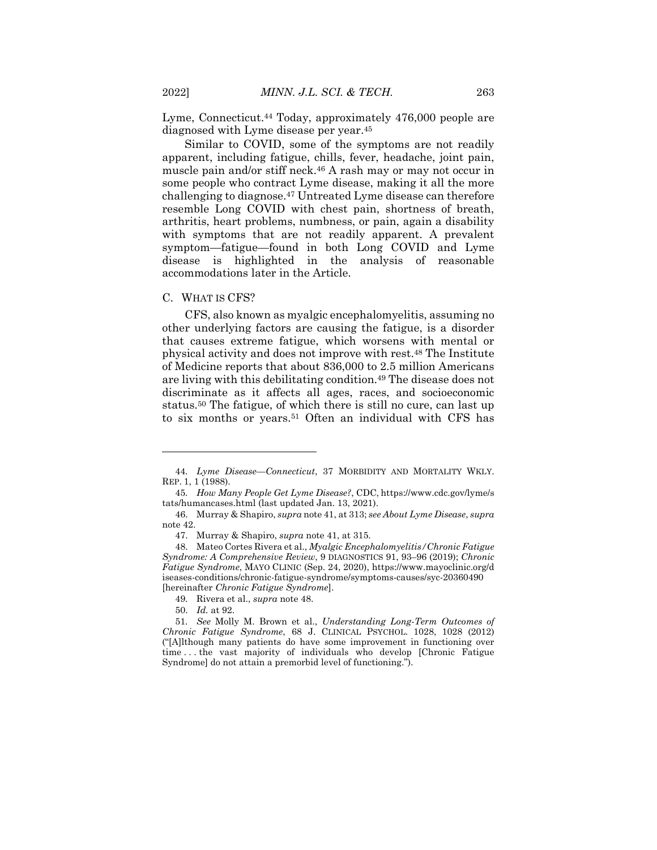Lyme, Connecticut.<sup>44</sup> Today, approximately 476,000 people are diagnosed with Lyme disease per year.<sup>45</sup>

Similar to COVID, some of the symptoms are not readily apparent, including fatigue, chills, fever, headache, joint pain, muscle pain and/or stiff neck.<sup>46</sup> A rash may or may not occur in some people who contract Lyme disease, making it all the more challenging to diagnose.<sup>47</sup> Untreated Lyme disease can therefore resemble Long COVID with chest pain, shortness of breath, arthritis, heart problems, numbness, or pain, again a disability with symptoms that are not readily apparent. A prevalent symptom—fatigue—found in both Long COVID and Lyme disease is highlighted in the analysis of reasonable accommodations later in the Article.

#### C. WHAT IS CFS?

CFS, also known as myalgic encephalomyelitis, assuming no other underlying factors are causing the fatigue, is a disorder that causes extreme fatigue, which worsens with mental or physical activity and does not improve with rest.<sup>48</sup> The Institute of Medicine reports that about 836,000 to 2.5 million Americans are living with this debilitating condition.<sup>49</sup> The disease does not discriminate as it affects all ages, races, and socioeconomic status.<sup>50</sup> The fatigue, of which there is still no cure, can last up to six months or years.<sup>51</sup> Often an individual with CFS has

 $\overline{a}$ 

<sup>44</sup>*. Lyme Disease—Connecticut*, 37 MORBIDITY AND MORTALITY WKLY. REP. 1, 1 (1988).

<sup>45</sup>*. How Many People Get Lyme Disease?*, CDC, https://www.cdc.gov/lyme/s tats/humancases.html (last updated Jan. 13, 2021).

<sup>46.</sup> Murray & Shapiro, *supra* note 41, at 313; *see About Lyme Disease*, *supra* note 42.

<sup>47.</sup> Murray & Shapiro, *supra* note 41, at 315.

<sup>48.</sup> Mateo Cortes Rivera et al., *Myalgic Encephalomyelitis/Chronic Fatigue Syndrome: A Comprehensive Review*, 9 DIAGNOSTICS 91, 93–96 (2019); *Chronic Fatigue Syndrome*, MAYO CLINIC (Sep. 24, 2020), https://www.mayoclinic.org/d iseases-conditions/chronic-fatigue-syndrome/symptoms-causes/syc-20360490 [hereinafter *Chronic Fatigue Syndrome*].

<sup>49</sup>*.* Rivera et al., *supra* note 48.

<sup>50.</sup> *Id.* at 92.

<sup>51</sup>*. See* Molly M. Brown et al., *Understanding Long-Term Outcomes of Chronic Fatigue Syndrome*, 68 J. CLINICAL PSYCHOL. 1028, 1028 (2012) ("[A]lthough many patients do have some improvement in functioning over time . . . the vast majority of individuals who develop [Chronic Fatigue Syndrome] do not attain a premorbid level of functioning.").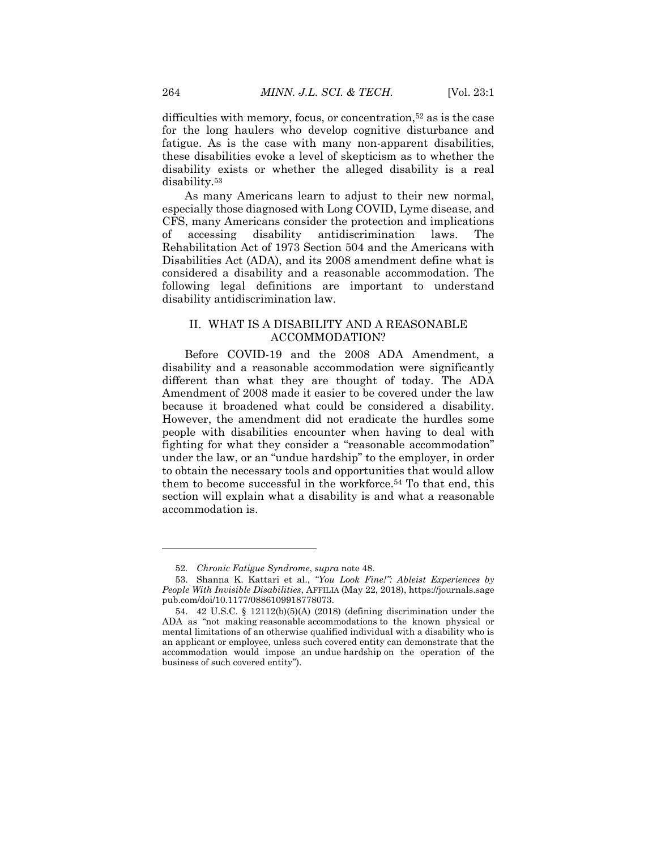difficulties with memory, focus, or concentration,<sup>52</sup> as is the case for the long haulers who develop cognitive disturbance and fatigue. As is the case with many non-apparent disabilities, these disabilities evoke a level of skepticism as to whether the disability exists or whether the alleged disability is a real disability.<sup>53</sup>

As many Americans learn to adjust to their new normal, especially those diagnosed with Long COVID, Lyme disease, and CFS, many Americans consider the protection and implications of accessing disability antidiscrimination laws. The Rehabilitation Act of 1973 Section 504 and the Americans with Disabilities Act (ADA), and its 2008 amendment define what is considered a disability and a reasonable accommodation. The following legal definitions are important to understand disability antidiscrimination law.

# II. WHAT IS A DISABILITY AND A REASONABLE ACCOMMODATION?

Before COVID-19 and the 2008 ADA Amendment, a disability and a reasonable accommodation were significantly different than what they are thought of today. The ADA Amendment of 2008 made it easier to be covered under the law because it broadened what could be considered a disability. However, the amendment did not eradicate the hurdles some people with disabilities encounter when having to deal with fighting for what they consider a "reasonable accommodation" under the law, or an "undue hardship" to the employer, in order to obtain the necessary tools and opportunities that would allow them to become successful in the workforce.<sup>54</sup> To that end, this section will explain what a disability is and what a reasonable accommodation is.

<sup>52</sup>*. Chronic Fatigue Syndrome*, *supra* note 48.

<sup>53.</sup> Shanna K. Kattari et al., *"You Look Fine!": Ableist Experiences by People With Invisible Disabilities*, AFFILIA (May 22, 2018), https://journals.sage pub.com/doi/10.1177/0886109918778073.

<sup>54.</sup> 42 U.S.C. § 12112(b)(5)(A) (2018) (defining discrimination under the ADA as "not making reasonable accommodations to the known physical or mental limitations of an otherwise qualified individual with a disability who is an applicant or employee, unless such covered entity can demonstrate that the accommodation would impose an undue hardship on the operation of the business of such covered entity").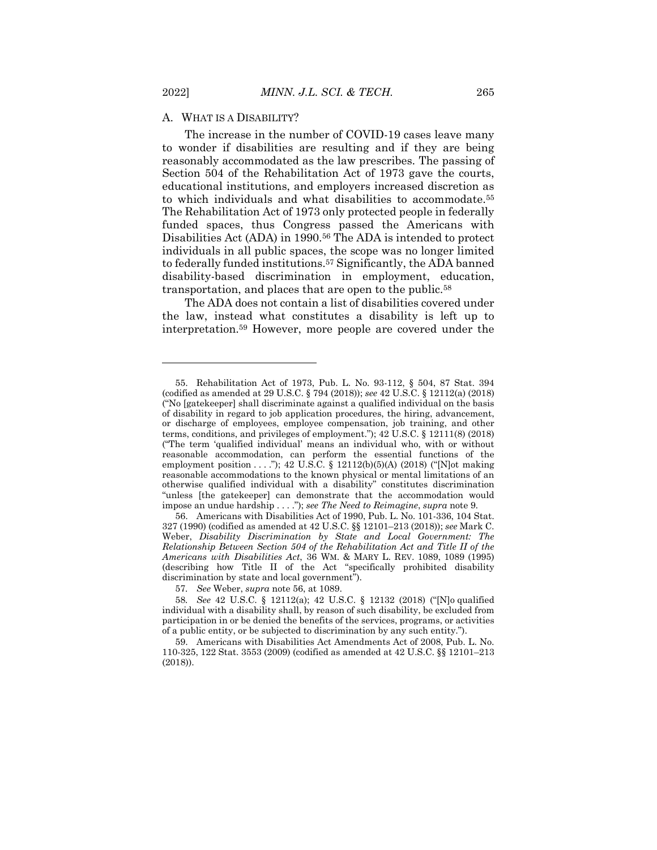### A. WHAT IS A DISABILITY?

The increase in the number of COVID-19 cases leave many to wonder if disabilities are resulting and if they are being reasonably accommodated as the law prescribes. The passing of Section 504 of the Rehabilitation Act of 1973 gave the courts, educational institutions, and employers increased discretion as to which individuals and what disabilities to accommodate.<sup>55</sup> The Rehabilitation Act of 1973 only protected people in federally funded spaces, thus Congress passed the Americans with Disabilities Act (ADA) in 1990.<sup>56</sup> The ADA is intended to protect individuals in all public spaces, the scope was no longer limited to federally funded institutions.<sup>57</sup> Significantly, the ADA banned disability-based discrimination in employment, education, transportation, and places that are open to the public.<sup>58</sup>

The ADA does not contain a list of disabilities covered under the law, instead what constitutes a disability is left up to interpretation.<sup>59</sup> However, more people are covered under the

 $\overline{a}$ 

<sup>55.</sup> Rehabilitation Act of 1973, Pub. L. No. 93-112, § 504, 87 Stat. 394 (codified as amended at 29 U.S.C. § 794 (2018)); *see* 42 U.S.C. § 12112(a) (2018) ("No [gatekeeper] shall discriminate against a qualified individual on the basis of disability in regard to job application procedures, the hiring, advancement, or discharge of employees, employee compensation, job training, and other terms, conditions, and privileges of employment."); 42 U.S.C. § 12111(8) (2018) ("The term 'qualified individual' means an individual who, with or without reasonable accommodation, can perform the essential functions of the employment position . . . ."); 42 U.S.C. § 12112(b)(5)(A) (2018) ("[N]ot making reasonable accommodations to the known physical or mental limitations of an otherwise qualified individual with a disability" constitutes discrimination "unless [the gatekeeper] can demonstrate that the accommodation would impose an undue hardship . . . ."); *see The Need to Reimagine*, *supra* note 9.

<sup>56.</sup> Americans with Disabilities Act of 1990, Pub. L. No. 101-336, 104 Stat. 327 (1990) (codified as amended at 42 U.S.C. §§ 12101–213 (2018)); *see* Mark C. Weber, *Disability Discrimination by State and Local Government: The Relationship Between Section 504 of the Rehabilitation Act and Title II of the Americans with Disabilities Act*, 36 WM. & MARY L. REV. 1089, 1089 (1995) (describing how Title II of the Act "specifically prohibited disability discrimination by state and local government").

<sup>57</sup>*. See* Weber, *supra* note 56, at 1089.

<sup>58</sup>*. See* 42 U.S.C. § 12112(a); 42 U.S.C. § 12132 (2018) ("[N]o qualified individual with a disability shall, by reason of such disability, be excluded from participation in or be denied the benefits of the services, programs, or activities of a public entity, or be subjected to discrimination by any such entity.").

<sup>59.</sup> Americans with Disabilities Act Amendments Act of 2008, Pub. L. No. 110-325, 122 Stat. 3553 (2009) (codified as amended at 42 U.S.C. §§ 12101–213 (2018)).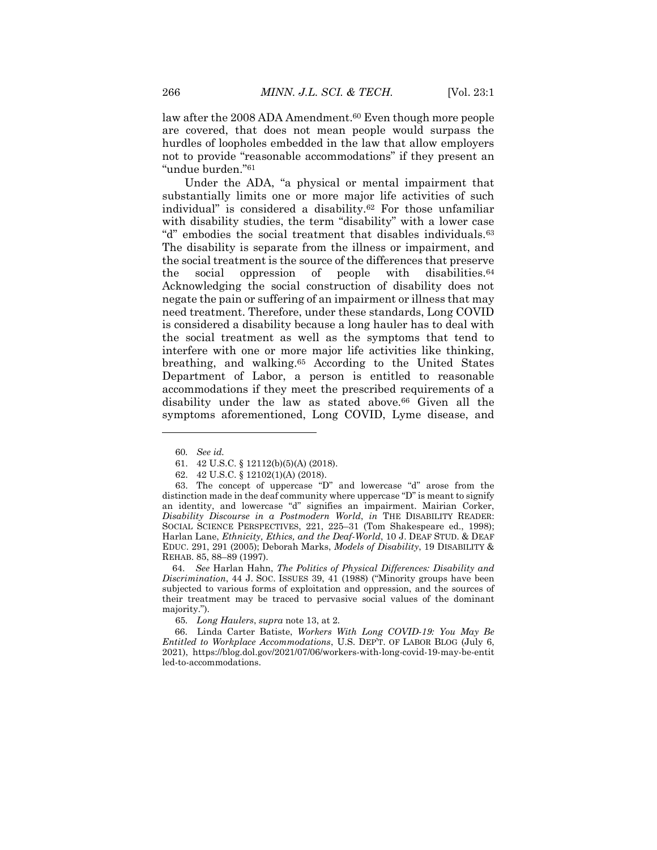law after the 2008 ADA Amendment.<sup>60</sup> Even though more people are covered, that does not mean people would surpass the hurdles of loopholes embedded in the law that allow employers not to provide "reasonable accommodations" if they present an "undue burden."<sup>61</sup>

Under the ADA, "a physical or mental impairment that substantially limits one or more major life activities of such individual" is considered a disability.<sup>62</sup> For those unfamiliar with disability studies, the term "disability" with a lower case "d" embodies the social treatment that disables individuals.<sup>63</sup> The disability is separate from the illness or impairment, and the social treatment is the source of the differences that preserve the social oppression of people with disabilities.<sup>64</sup> Acknowledging the social construction of disability does not negate the pain or suffering of an impairment or illness that may need treatment. Therefore, under these standards, Long COVID is considered a disability because a long hauler has to deal with the social treatment as well as the symptoms that tend to interfere with one or more major life activities like thinking, breathing, and walking.<sup>65</sup> According to the United States Department of Labor, a person is entitled to reasonable accommodations if they meet the prescribed requirements of a disability under the law as stated above.<sup>66</sup> Given all the symptoms aforementioned, Long COVID, Lyme disease, and

 $\overline{a}$ 

 64. *See* Harlan Hahn, *The Politics of Physical Differences: Disability and Discrimination*, 44 J. SOC. ISSUES 39, 41 (1988) ("Minority groups have been subjected to various forms of exploitation and oppression, and the sources of their treatment may be traced to pervasive social values of the dominant majority.").

65*. Long Haulers*, *supra* note 13, at 2*.*

 66. Linda Carter Batiste, *Workers With Long COVID-19: You May Be Entitled to Workplace Accommodations*, U.S. DEP'T. OF LABOR BLOG (July 6, 2021), https://blog.dol.gov/2021/07/06/workers-with-long-covid-19-may-be-entit led-to-accommodations.

<sup>60</sup>*. See id.*

<sup>61.</sup> 42 U.S.C. § 12112(b)(5)(A) (2018).

<sup>62.</sup> 42 U.S.C. § 12102(1)(A) (2018).

<sup>63.</sup> The concept of uppercase "D" and lowercase "d" arose from the distinction made in the deaf community where uppercase "D" is meant to signify an identity, and lowercase "d" signifies an impairment. Mairian Corker, *Disability Discourse in a Postmodern World*, *in* THE DISABILITY READER: SOCIAL SCIENCE PERSPECTIVES, 221, 225–31 (Tom Shakespeare ed., 1998); Harlan Lane, *Ethnicity, Ethics, and the Deaf-World*, 10 J. DEAF STUD. & DEAF EDUC. 291, 291 (2005); Deborah Marks, *Models of Disability*, 19 DISABILITY & REHAB. 85, 88–89 (1997).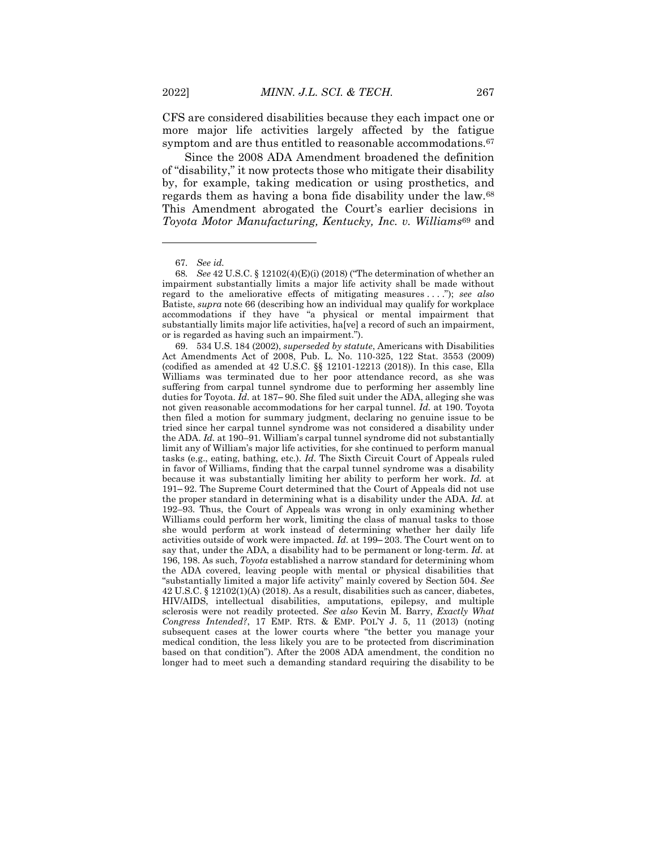CFS are considered disabilities because they each impact one or more major life activities largely affected by the fatigue symptom and are thus entitled to reasonable accommodations.<sup>67</sup>

Since the 2008 ADA Amendment broadened the definition of "disability," it now protects those who mitigate their disability by, for example, taking medication or using prosthetics, and regards them as having a bona fide disability under the law.<sup>68</sup> This Amendment abrogated the Court's earlier decisions in *Toyota Motor Manufacturing, Kentucky, Inc. v. Williams*<sup>69</sup> and

<sup>67</sup>*. See id.*

<sup>68</sup>*. See* 42 U.S.C. § 12102(4)(E)(i) (2018) ("The determination of whether an impairment substantially limits a major life activity shall be made without regard to the ameliorative effects of mitigating measures . . . ."); *see also* Batiste, *supra* note 66 (describing how an individual may qualify for workplace accommodations if they have "a physical or mental impairment that substantially limits major life activities, ha[ve] a record of such an impairment, or is regarded as having such an impairment.").

<sup>69.</sup> 534 U.S. 184 (2002), *superseded by statute*, Americans with Disabilities Act Amendments Act of 2008, Pub. L. No. 110-325, 122 Stat. 3553 (2009) (codified as amended at 42 U.S.C. §§ 12101-12213 (2018)). In this case, Ella Williams was terminated due to her poor attendance record, as she was suffering from carpal tunnel syndrome due to performing her assembly line duties for Toyota. *Id.* at 187–90. She filed suit under the ADA, alleging she was not given reasonable accommodations for her carpal tunnel. *Id.* at 190. Toyota then filed a motion for summary judgment, declaring no genuine issue to be tried since her carpal tunnel syndrome was not considered a disability under the ADA. *Id.* at 190–91*.* William's carpal tunnel syndrome did not substantially limit any of William's major life activities, for she continued to perform manual tasks (e.g., eating, bathing, etc.). *Id.* The Sixth Circuit Court of Appeals ruled in favor of Williams, finding that the carpal tunnel syndrome was a disability because it was substantially limiting her ability to perform her work. *Id.* at 191–92. The Supreme Court determined that the Court of Appeals did not use the proper standard in determining what is a disability under the ADA. *Id.* at 192–93*.* Thus, the Court of Appeals was wrong in only examining whether Williams could perform her work, limiting the class of manual tasks to those she would perform at work instead of determining whether her daily life activities outside of work were impacted. *Id.* at 199–203. The Court went on to say that, under the ADA, a disability had to be permanent or long-term. *Id.* at 196, 198. As such, *Toyota* established a narrow standard for determining whom the ADA covered, leaving people with mental or physical disabilities that "substantially limited a major life activity" mainly covered by Section 504. *See*  42 U.S.C. § 12102(1)(A) (2018). As a result, disabilities such as cancer, diabetes, HIV/AIDS, intellectual disabilities, amputations, epilepsy, and multiple sclerosis were not readily protected. *See also* Kevin M. Barry, *Exactly What Congress Intended?*, 17 EMP. RTS. & EMP. POL'Y J. 5, 11 (2013) (noting subsequent cases at the lower courts where "the better you manage your medical condition, the less likely you are to be protected from discrimination based on that condition"). After the 2008 ADA amendment, the condition no longer had to meet such a demanding standard requiring the disability to be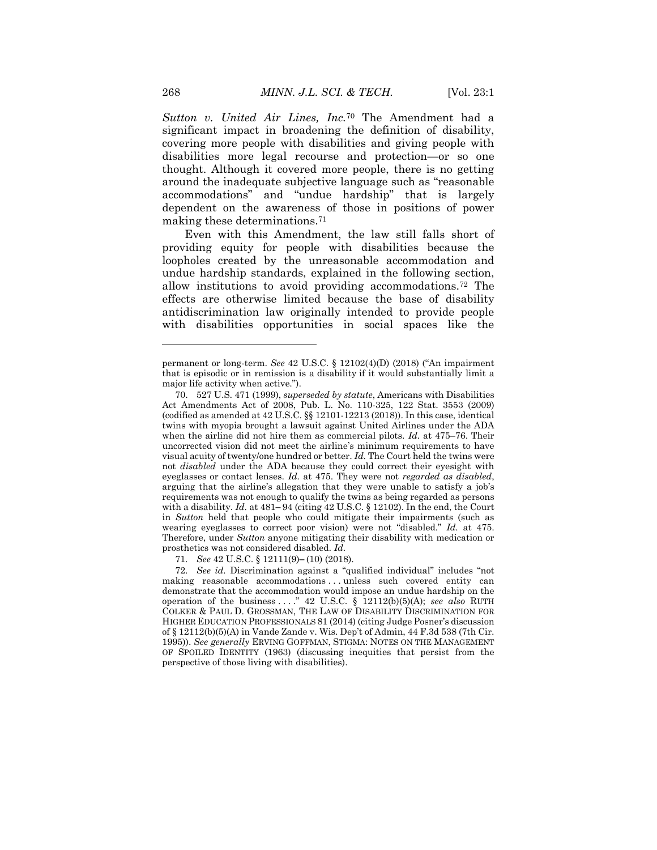*Sutton v. United Air Lines, Inc.*<sup>70</sup> The Amendment had a significant impact in broadening the definition of disability, covering more people with disabilities and giving people with disabilities more legal recourse and protection—or so one thought. Although it covered more people, there is no getting around the inadequate subjective language such as "reasonable accommodations" and "undue hardship" that is largely dependent on the awareness of those in positions of power making these determinations.<sup>71</sup>

Even with this Amendment, the law still falls short of providing equity for people with disabilities because the loopholes created by the unreasonable accommodation and undue hardship standards, explained in the following section, allow institutions to avoid providing accommodations.<sup>72</sup> The effects are otherwise limited because the base of disability antidiscrimination law originally intended to provide people with disabilities opportunities in social spaces like the

71. *See* 42 U.S.C. § 12111(9)-(10) (2018).

permanent or long-term. *See* 42 U.S.C. § 12102(4)(D) (2018) ("An impairment that is episodic or in remission is a disability if it would substantially limit a major life activity when active.").

<sup>70.</sup> 527 U.S. 471 (1999), *superseded by statute*, Americans with Disabilities Act Amendments Act of 2008, Pub. L. No. 110-325, 122 Stat. 3553 (2009) (codified as amended at 42 U.S.C. §§ 12101-12213 (2018)). In this case, identical twins with myopia brought a lawsuit against United Airlines under the ADA when the airline did not hire them as commercial pilots. *Id.* at 475–76. Their uncorrected vision did not meet the airline's minimum requirements to have visual acuity of twenty/one hundred or better. *Id.* The Court held the twins were not *disabled* under the ADA because they could correct their eyesight with eyeglasses or contact lenses. *Id.* at 475. They were not *regarded as disabled*, arguing that the airline's allegation that they were unable to satisfy a job's requirements was not enough to qualify the twins as being regarded as persons with a disability. *Id.* at 481–94 (citing 42 U.S.C. § 12102). In the end, the Court in *Sutton* held that people who could mitigate their impairments (such as wearing eyeglasses to correct poor vision) were not "disabled." *Id.* at 475. Therefore, under *Sutton* anyone mitigating their disability with medication or prosthetics was not considered disabled. *Id.*

<sup>72</sup>*. See id.* Discrimination against a "qualified individual" includes "not making reasonable accommodations . . . unless such covered entity can demonstrate that the accommodation would impose an undue hardship on the operation of the business . . . ." 42 U.S.C. § 12112(b)(5)(A); *see also* RUTH COLKER & PAUL D. GROSSMAN, THE LAW OF DISABILITY DISCRIMINATION FOR HIGHER EDUCATION PROFESSIONALS 81 (2014) (citing Judge Posner's discussion of § 12112(b)(5)(A) in Vande Zande v. Wis. Dep't of Admin, 44 F.3d 538 (7th Cir. 1995)). *See generally* ERVING GOFFMAN, STIGMA: NOTES ON THE MANAGEMENT OF SPOILED IDENTITY (1963) (discussing inequities that persist from the perspective of those living with disabilities).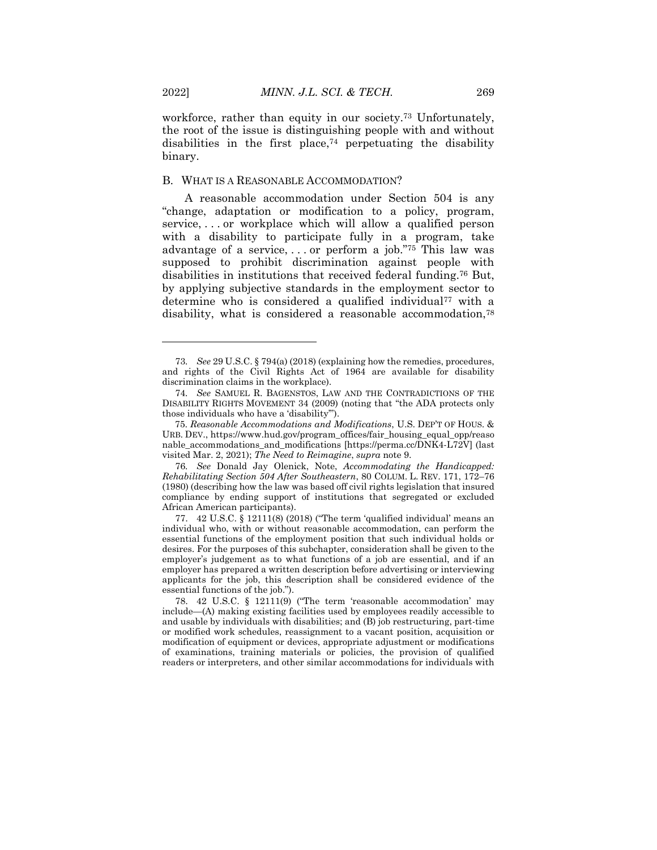workforce, rather than equity in our society.<sup>73</sup> Unfortunately, the root of the issue is distinguishing people with and without disabilities in the first place,<sup> $74$ </sup> perpetuating the disability binary.

#### B. WHAT IS A REASONABLE ACCOMMODATION?

A reasonable accommodation under Section 504 is any "change, adaptation or modification to a policy, program, service, . . . or workplace which will allow a qualified person with a disability to participate fully in a program, take advantage of a service, . . . or perform a job."<sup>75</sup> This law was supposed to prohibit discrimination against people with disabilities in institutions that received federal funding.<sup>76</sup> But, by applying subjective standards in the employment sector to determine who is considered a qualified individual<sup>77</sup> with a disability, what is considered a reasonable accommodation,<sup>78</sup>

76*. See* Donald Jay Olenick, Note, *Accommodating the Handicapped: Rehabilitating Section 504 After Southeastern*, 80 COLUM. L. REV. 171, 172–76 (1980) (describing how the law was based off civil rights legislation that insured compliance by ending support of institutions that segregated or excluded African American participants).

77. 42 U.S.C. § 12111(8) (2018) ("The term 'qualified individual' means an individual who, with or without reasonable accommodation, can perform the essential functions of the employment position that such individual holds or desires. For the purposes of this subchapter, consideration shall be given to the employer's judgement as to what functions of a job are essential, and if an employer has prepared a written description before advertising or interviewing applicants for the job, this description shall be considered evidence of the essential functions of the job.").

<sup>73</sup>*. See* 29 U.S.C. § 794(a) (2018) (explaining how the remedies, procedures, and rights of the Civil Rights Act of 1964 are available for disability discrimination claims in the workplace).

<sup>74</sup>*. See* SAMUEL R. BAGENSTOS, LAW AND THE CONTRADICTIONS OF THE DISABILITY RIGHTS MOVEMENT 34 (2009) (noting that "the ADA protects only those individuals who have a 'disability'").

 <sup>75.</sup> *Reasonable Accommodations and Modifications*, U.S. DEP'T OF HOUS. & URB. DEV., https://www.hud.gov/program\_offices/fair\_housing\_equal\_opp/reaso nable\_accommodations\_and\_modifications [https://perma.cc/DNK4-L72V] (last visited Mar. 2, 2021); *The Need to Reimagine*, *supra* note 9.

<sup>78.</sup> 42 U.S.C. § 12111(9) ("The term 'reasonable accommodation' may include—(A) making existing facilities used by employees readily accessible to and usable by individuals with disabilities; and (B) job restructuring, part-time or modified work schedules, reassignment to a vacant position, acquisition or modification of equipment or devices, appropriate adjustment or modifications of examinations, training materials or policies, the provision of qualified readers or interpreters, and other similar accommodations for individuals with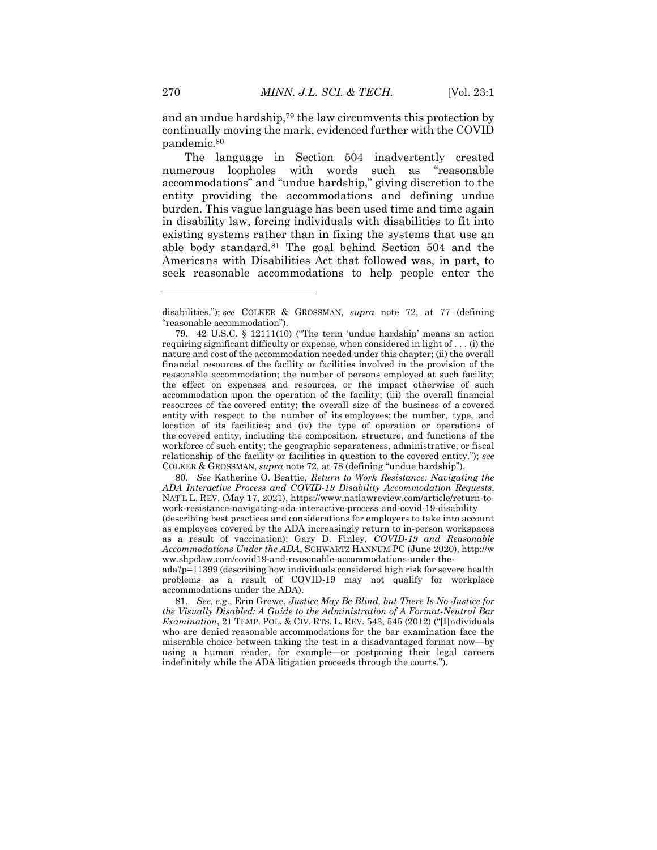and an undue hardship,<sup>79</sup> the law circumvents this protection by continually moving the mark, evidenced further with the COVID pandemic.<sup>80</sup>

The language in Section 504 inadvertently created numerous loopholes with words such as "reasonable accommodations" and "undue hardship," giving discretion to the entity providing the accommodations and defining undue burden. This vague language has been used time and time again in disability law, forcing individuals with disabilities to fit into existing systems rather than in fixing the systems that use an able body standard.<sup>81</sup> The goal behind Section 504 and the Americans with Disabilities Act that followed was, in part, to seek reasonable accommodations to help people enter the

80*. See* Katherine O. Beattie, *Return to Work Resistance: Navigating the ADA Interactive Process and COVID-19 Disability Accommodation Requests*, NAT'L L. REV. (May 17, 2021), https://www.natlawreview.com/article/return-towork-resistance-navigating-ada-interactive-process-and-covid-19-disability

 $\overline{a}$ 

disabilities."); *see* COLKER & GROSSMAN, *supra* note 72, at 77 (defining "reasonable accommodation").

<sup>79.</sup> 42 U.S.C. § 12111(10) ("The term 'undue hardship' means an action requiring significant difficulty or expense, when considered in light of . . . (i) the nature and cost of the accommodation needed under this chapter; (ii) the overall financial resources of the facility or facilities involved in the provision of the reasonable accommodation; the number of persons employed at such facility; the effect on expenses and resources, or the impact otherwise of such accommodation upon the operation of the facility; (iii) the overall financial resources of the covered entity; the overall size of the business of a covered entity with respect to the number of its employees; the number, type, and location of its facilities; and (iv) the type of operation or operations of the covered entity, including the composition, structure, and functions of the workforce of such entity; the geographic separateness, administrative, or fiscal relationship of the facility or facilities in question to the covered entity."); *see*  COLKER & GROSSMAN, *supra* note 72, at 78 (defining "undue hardship").

<sup>(</sup>describing best practices and considerations for employers to take into account as employees covered by the ADA increasingly return to in-person workspaces as a result of vaccination); Gary D. Finley, *COVID-19 and Reasonable Accommodations Under the ADA*, SCHWARTZ HANNUM PC (June 2020), http://w ww.shpclaw.com/covid19-and-reasonable-accommodations-under-the-

ada?p=11399 (describing how individuals considered high risk for severe health problems as a result of COVID-19 may not qualify for workplace accommodations under the ADA).

<sup>81</sup>*. See, e.g.*, Erin Grewe, *Justice May Be Blind, but There Is No Justice for the Visually Disabled: A Guide to the Administration of A Format-Neutral Bar Examination*, 21 TEMP. POL. & CIV. RTS. L. REV. 543, 545 (2012) ("[I]ndividuals who are denied reasonable accommodations for the bar examination face the miserable choice between taking the test in a disadvantaged format now—by using a human reader, for example—or postponing their legal careers indefinitely while the ADA litigation proceeds through the courts.").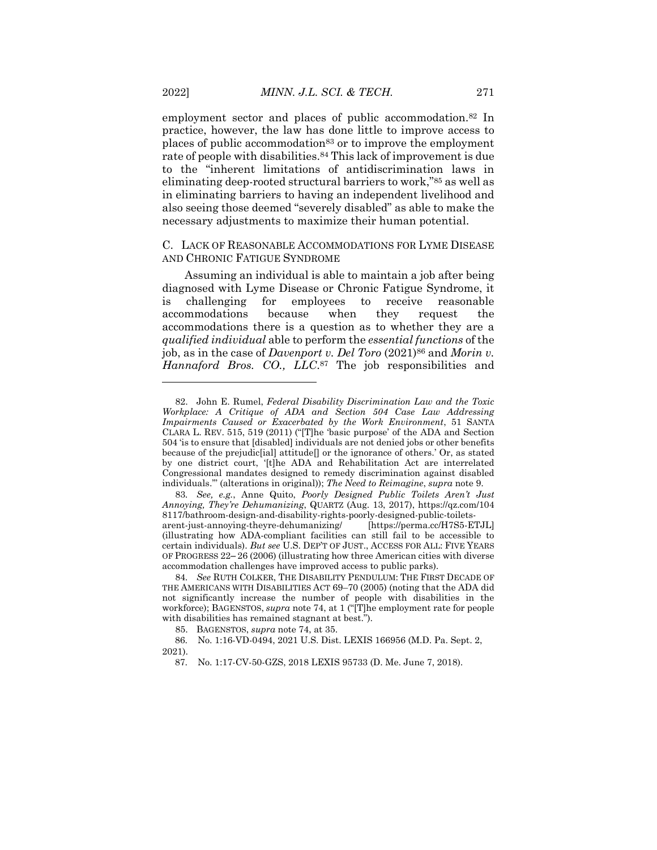employment sector and places of public accommodation.<sup>82</sup> In practice, however, the law has done little to improve access to places of public accommodation<sup>83</sup> or to improve the employment rate of people with disabilities.<sup>84</sup> This lack of improvement is due to the "inherent limitations of antidiscrimination laws in eliminating deep-rooted structural barriers to work," <sup>85</sup> as well as in eliminating barriers to having an independent livelihood and also seeing those deemed "severely disabled" as able to make the necessary adjustments to maximize their human potential.

C. LACK OF REASONABLE ACCOMMODATIONS FOR LYME DISEASE AND CHRONIC FATIGUE SYNDROME

Assuming an individual is able to maintain a job after being diagnosed with Lyme Disease or Chronic Fatigue Syndrome, it is challenging for employees to receive reasonable accommodations because when they request the accommodations there is a question as to whether they are a *qualified individual* able to perform the *essential functions* of the job, as in the case of *Davenport v. Del Toro* (2021)<sup>86</sup> and *Morin v. Hannaford Bros. CO., LLC*. <sup>87</sup> The job responsibilities and

<sup>82.</sup> John E. Rumel, *Federal Disability Discrimination Law and the Toxic Workplace: A Critique of ADA and Section 504 Case Law Addressing Impairments Caused or Exacerbated by the Work Environment*, 51 SANTA CLARA L. REV. 515, 519 (2011) ("[T]he 'basic purpose' of the ADA and Section 504 'is to ensure that [disabled] individuals are not denied jobs or other benefits because of the prejudic[ial] attitude[] or the ignorance of others.' Or, as stated by one district court, '[t]he ADA and Rehabilitation Act are interrelated Congressional mandates designed to remedy discrimination against disabled individuals.'" (alterations in original)); *The Need to Reimagine*, *supra* note 9.

<sup>83</sup>*. See, e.g.*, Anne Quito, *Poorly Designed Public Toilets Aren't Just Annoying, They're Dehumanizing*, QUARTZ (Aug. 13, 2017), https://qz.com/104 8117/bathroom-design-and-disability-rights-poorly-designed-public-toiletsarent-just-annoying-theyre-dehumanizing/ [https://perma.cc/H7S5-ETJL] (illustrating how ADA-compliant facilities can still fail to be accessible to certain individuals). *But see* U.S. DEP'T OF JUST., ACCESS FOR ALL: FIVE YEARS OF PROGRESS 22‒ 26 (2006) (illustrating how three American cities with diverse accommodation challenges have improved access to public parks).

<sup>84</sup>*. See* RUTH COLKER, THE DISABILITY PENDULUM: THE FIRST DECADE OF THE AMERICANS WITH DISABILITIES ACT 69–70 (2005) (noting that the ADA did not significantly increase the number of people with disabilities in the workforce); BAGENSTOS, *supra* note 74, at 1 ("[T]he employment rate for people with disabilities has remained stagnant at best.").

<sup>85.</sup> BAGENSTOS, *supra* note 74, at 35.

 <sup>86.</sup> No. 1:16-VD-0494, 2021 U.S. Dist. LEXIS 166956 (M.D. Pa. Sept. 2, 2021).

 <sup>87.</sup> No. 1:17-CV-50-GZS, 2018 LEXIS 95733 (D. Me. June 7, 2018).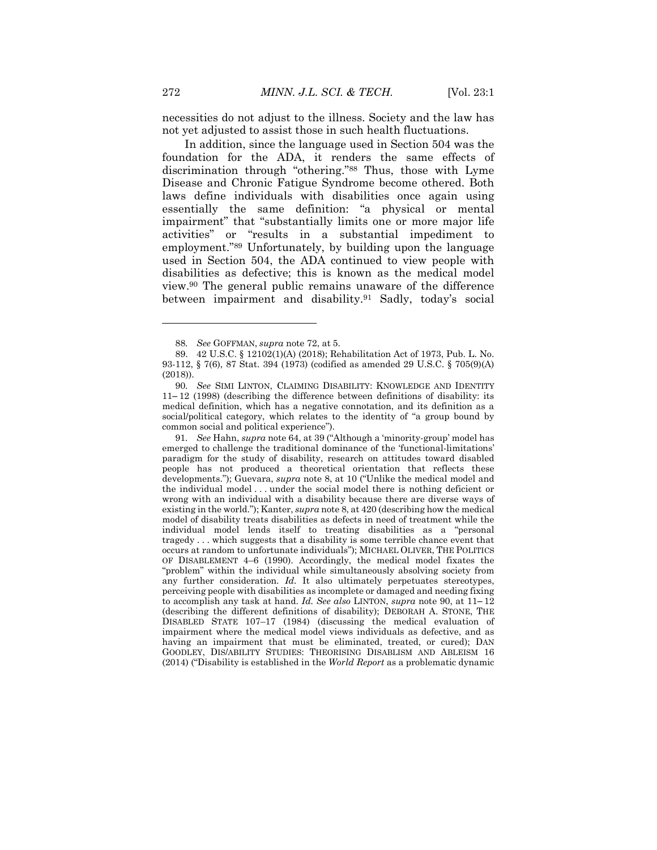necessities do not adjust to the illness. Society and the law has not yet adjusted to assist those in such health fluctuations.

In addition, since the language used in Section 504 was the foundation for the ADA, it renders the same effects of discrimination through "othering."<sup>88</sup> Thus, those with Lyme Disease and Chronic Fatigue Syndrome become othered. Both laws define individuals with disabilities once again using essentially the same definition: "a physical or mental impairment" that "substantially limits one or more major life activities" or "results in a substantial impediment to employment."<sup>89</sup> Unfortunately, by building upon the language used in Section 504, the ADA continued to view people with disabilities as defective; this is known as the medical model view.<sup>90</sup> The general public remains unaware of the difference between impairment and disability.<sup>91</sup> Sadly, today's social

91*. See* Hahn, *supra* note 64, at 39 ("Although a 'minority-group' model has emerged to challenge the traditional dominance of the 'functional-limitations' paradigm for the study of disability, research on attitudes toward disabled people has not produced a theoretical orientation that reflects these developments."); Guevara, *supra* note 8, at 10 ("Unlike the medical model and the individual model . . . under the social model there is nothing deficient or wrong with an individual with a disability because there are diverse ways of existing in the world."); Kanter, *supra* note 8, at 420 (describing how the medical model of disability treats disabilities as defects in need of treatment while the individual model lends itself to treating disabilities as a "personal tragedy . . . which suggests that a disability is some terrible chance event that occurs at random to unfortunate individuals"); MICHAEL OLIVER, THE POLITICS OF DISABLEMENT 4–6 (1990). Accordingly, the medical model fixates the "problem" within the individual while simultaneously absolving society from any further consideration. *Id.* It also ultimately perpetuates stereotypes, perceiving people with disabilities as incomplete or damaged and needing fixing to accomplish any task at hand. *Id. See also* LINTON, *supra* note 90, at 11-12 (describing the different definitions of disability); DEBORAH A. STONE, THE DISABLED STATE 107–17 (1984) (discussing the medical evaluation of impairment where the medical model views individuals as defective, and as having an impairment that must be eliminated, treated, or cured); DAN GOODLEY, DIS/ABILITY STUDIES: THEORISING DISABLISM AND ABLEISM 16 (2014) ("Disability is established in the *World Report* as a problematic dynamic

<sup>88</sup>*. See* GOFFMAN, *supra* note 72, at 5.

<sup>89.</sup> 42 U.S.C. § 12102(1)(A) (2018); Rehabilitation Act of 1973, Pub. L. No. 93-112, § 7(6), 87 Stat. 394 (1973) (codified as amended 29 U.S.C. § 705(9)(A) (2018)).

<sup>90</sup>*. See* SIMI LINTON, CLAIMING DISABILITY: KNOWLEDGE AND IDENTITY 11‒ 12 (1998) (describing the difference between definitions of disability: its medical definition, which has a negative connotation, and its definition as a social/political category, which relates to the identity of "a group bound by common social and political experience").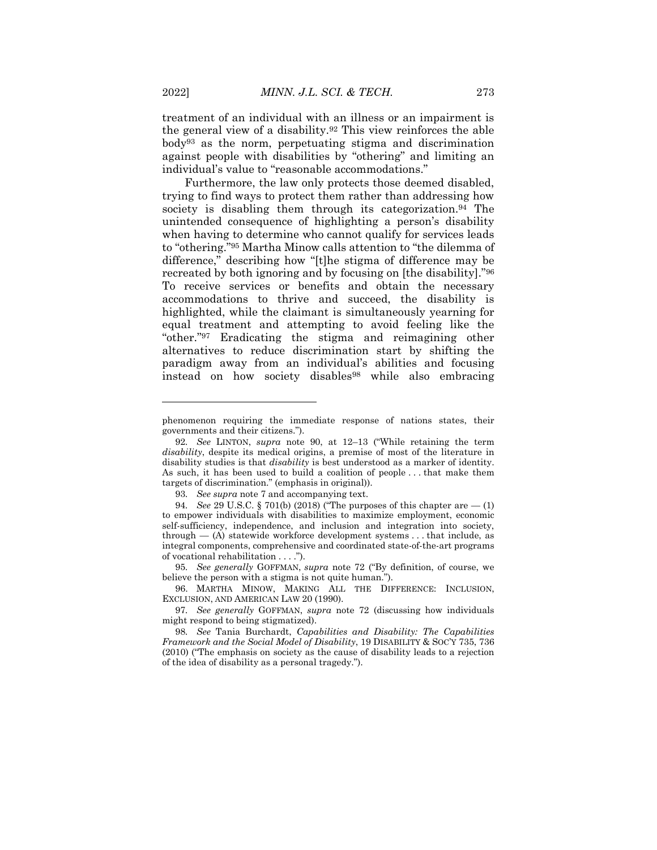treatment of an individual with an illness or an impairment is the general view of a disability.<sup>92</sup> This view reinforces the able body<sup>93</sup> as the norm, perpetuating stigma and discrimination against people with disabilities by "othering" and limiting an individual's value to "reasonable accommodations."

Furthermore, the law only protects those deemed disabled, trying to find ways to protect them rather than addressing how society is disabling them through its categorization.<sup>94</sup> The unintended consequence of highlighting a person's disability when having to determine who cannot qualify for services leads to "othering."<sup>95</sup> Martha Minow calls attention to "the dilemma of difference," describing how "[t]he stigma of difference may be recreated by both ignoring and by focusing on [the disability]."<sup>96</sup> To receive services or benefits and obtain the necessary accommodations to thrive and succeed, the disability is highlighted, while the claimant is simultaneously yearning for equal treatment and attempting to avoid feeling like the "other."<sup>97</sup> Eradicating the stigma and reimagining other alternatives to reduce discrimination start by shifting the paradigm away from an individual's abilities and focusing instead on how society disables<sup>98</sup> while also embracing

95*. See generally* GOFFMAN, *supra* note 72 ("By definition, of course, we believe the person with a stigma is not quite human.").

 $\overline{a}$ 

phenomenon requiring the immediate response of nations states, their governments and their citizens.").

<sup>92</sup>*. See* LINTON, *supra* note 90, at 12–13 ("While retaining the term *disability*, despite its medical origins, a premise of most of the literature in disability studies is that *disability* is best understood as a marker of identity. As such, it has been used to build a coalition of people . . . that make them targets of discrimination." (emphasis in original)).

<sup>93</sup>*. See supra* note 7 and accompanying text.

<sup>94</sup>*. See* 29 U.S.C. § 701(b) (2018) ("The purposes of this chapter are — (1) to empower individuals with disabilities to maximize employment, economic self-sufficiency, independence, and inclusion and integration into society, through  $-$  (A) statewide workforce development systems . . . that include, as integral components, comprehensive and coordinated state-of-the-art programs of vocational rehabilitation . . . .").

<sup>96.</sup> MARTHA MINOW, MAKING ALL THE DIFFERENCE: INCLUSION, EXCLUSION, AND AMERICAN LAW 20 (1990).

<sup>97</sup>*. See generally* GOFFMAN, *supra* note 72 (discussing how individuals might respond to being stigmatized).

<sup>98</sup>*. See* Tania Burchardt, *Capabilities and Disability: The Capabilities Framework and the Social Model of Disability*, 19 DISABILITY & SOC'Y 735, 736 (2010) ("The emphasis on society as the cause of disability leads to a rejection of the idea of disability as a personal tragedy.").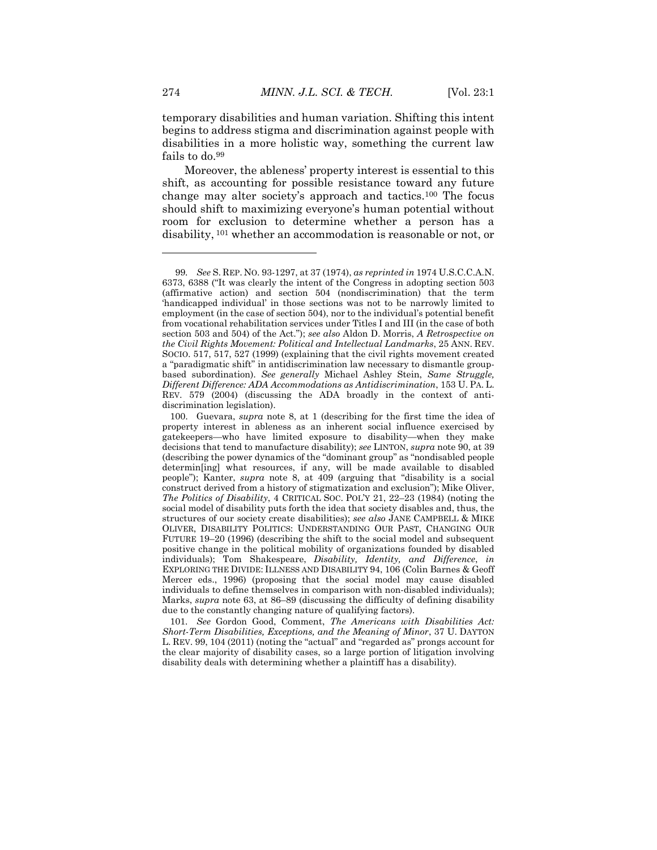temporary disabilities and human variation. Shifting this intent begins to address stigma and discrimination against people with disabilities in a more holistic way, something the current law fails to do.<sup>99</sup>

Moreover, the ableness' property interest is essential to this shift, as accounting for possible resistance toward any future change may alter society's approach and tactics.<sup>100</sup> The focus should shift to maximizing everyone's human potential without room for exclusion to determine whether a person has a disability, <sup>101</sup> whether an accommodation is reasonable or not, or

101*. See* Gordon Good, Comment, *The Americans with Disabilities Act: Short-Term Disabilities, Exceptions, and the Meaning of Minor*, 37 U. DAYTON L. REV. 99, 104 (2011) (noting the "actual" and "regarded as" prongs account for the clear majority of disability cases, so a large portion of litigation involving disability deals with determining whether a plaintiff has a disability).

<sup>99</sup>*. See* S. REP. NO. 93-1297, at 37 (1974), *as reprinted in* 1974 U.S.C.C.A.N. 6373, 6388 ("It was clearly the intent of the Congress in adopting section 503 (affirmative action) and section 504 (nondiscrimination) that the term 'handicapped individual' in those sections was not to be narrowly limited to employment (in the case of section 504), nor to the individual's potential benefit from vocational rehabilitation services under Titles I and III (in the case of both section 503 and 504) of the Act."); *see also* Aldon D. Morris, *A Retrospective on the Civil Rights Movement: Political and Intellectual Landmarks*, 25 ANN. REV. SOCIO. 517, 517, 527 (1999) (explaining that the civil rights movement created a "paradigmatic shift" in antidiscrimination law necessary to dismantle groupbased subordination). *See generally* Michael Ashley Stein, *Same Struggle, Different Difference: ADA Accommodations as Antidiscrimination*, 153 U. PA. L. REV. 579 (2004) (discussing the ADA broadly in the context of antidiscrimination legislation).

<sup>100.</sup> Guevara, *supra* note 8, at 1 (describing for the first time the idea of property interest in ableness as an inherent social influence exercised by gatekeepers—who have limited exposure to disability—when they make decisions that tend to manufacture disability); *see* LINTON, *supra* note 90, at 39 (describing the power dynamics of the "dominant group" as "nondisabled people determin[ing] what resources, if any, will be made available to disabled people"); Kanter, *supra* note 8, at 409 (arguing that "disability is a social construct derived from a history of stigmatization and exclusion"); Mike Oliver, *The Politics of Disability*, 4 CRITICAL SOC. POL'Y 21, 22–23 (1984) (noting the social model of disability puts forth the idea that society disables and, thus, the structures of our society create disabilities); *see also* JANE CAMPBELL & MIKE OLIVER, DISABILITY POLITICS: UNDERSTANDING OUR PAST, CHANGING OUR FUTURE 19–20 (1996) (describing the shift to the social model and subsequent positive change in the political mobility of organizations founded by disabled individuals); Tom Shakespeare, *Disability, Identity, and Difference*, *in* EXPLORING THE DIVIDE: ILLNESS AND DISABILITY 94, 106 (Colin Barnes & Geoff Mercer eds., 1996) (proposing that the social model may cause disabled individuals to define themselves in comparison with non-disabled individuals); Marks, *supra* note 63, at 86–89 (discussing the difficulty of defining disability due to the constantly changing nature of qualifying factors).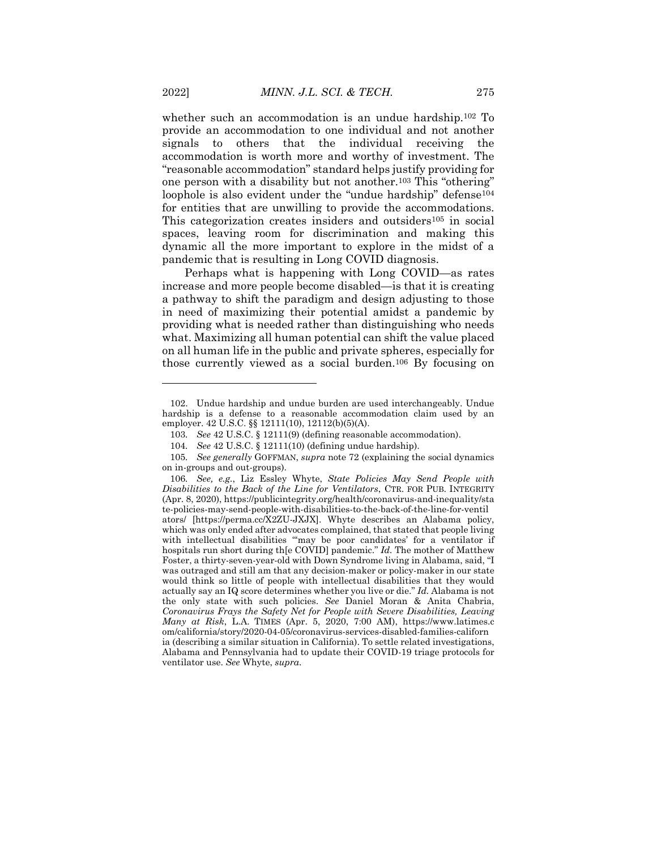whether such an accommodation is an undue hardship.<sup>102</sup> To provide an accommodation to one individual and not another signals to others that the individual receiving the accommodation is worth more and worthy of investment. The "reasonable accommodation" standard helps justify providing for one person with a disability but not another.<sup>103</sup> This "othering" loophole is also evident under the "undue hardship" defense<sup>104</sup> for entities that are unwilling to provide the accommodations. This categorization creates insiders and outsiders<sup>105</sup> in social spaces, leaving room for discrimination and making this dynamic all the more important to explore in the midst of a pandemic that is resulting in Long COVID diagnosis.

Perhaps what is happening with Long COVID—as rates increase and more people become disabled—is that it is creating a pathway to shift the paradigm and design adjusting to those in need of maximizing their potential amidst a pandemic by providing what is needed rather than distinguishing who needs what. Maximizing all human potential can shift the value placed on all human life in the public and private spheres, especially for those currently viewed as a social burden.<sup>106</sup> By focusing on

<sup>102.</sup> Undue hardship and undue burden are used interchangeably. Undue hardship is a defense to a reasonable accommodation claim used by an employer. 42 U.S.C. §§ 12111(10), 12112(b)(5)(A).

<sup>103</sup>*. See* 42 U.S.C. § 12111(9) (defining reasonable accommodation).

<sup>104</sup>*. See* 42 U.S.C. § 12111(10) (defining undue hardship).

<sup>105</sup>*. See generally* GOFFMAN, *supra* note 72 (explaining the social dynamics on in-groups and out-groups).

<sup>106</sup>*. See, e.g.*, Liz Essley Whyte, *State Policies May Send People with Disabilities to the Back of the Line for Ventilators*, CTR. FOR PUB. INTEGRITY (Apr. 8, 2020), https://publicintegrity.org/health/coronavirus-and-inequality/sta te-policies-may-send-people-with-disabilities-to-the-back-of-the-line-for-ventil ators/ [https://perma.cc/X2ZU-JXJX]. Whyte describes an Alabama policy, which was only ended after advocates complained, that stated that people living with intellectual disabilities "may be poor candidates' for a ventilator if hospitals run short during th[e COVID] pandemic." *Id.* The mother of Matthew Foster, a thirty-seven-year-old with Down Syndrome living in Alabama, said, "I was outraged and still am that any decision-maker or policy-maker in our state would think so little of people with intellectual disabilities that they would actually say an IQ score determines whether you live or die." *Id.* Alabama is not the only state with such policies. *See* Daniel Moran & Anita Chabria, *Coronavirus Frays the Safety Net for People with Severe Disabilities, Leaving Many at Risk*, L.A. TIMES (Apr. 5, 2020, 7:00 AM), https://www.latimes.c om/california/story/2020-04-05/coronavirus-services-disabled-families-californ ia (describing a similar situation in California). To settle related investigations, Alabama and Pennsylvania had to update their COVID-19 triage protocols for ventilator use. *See* Whyte, *supra*.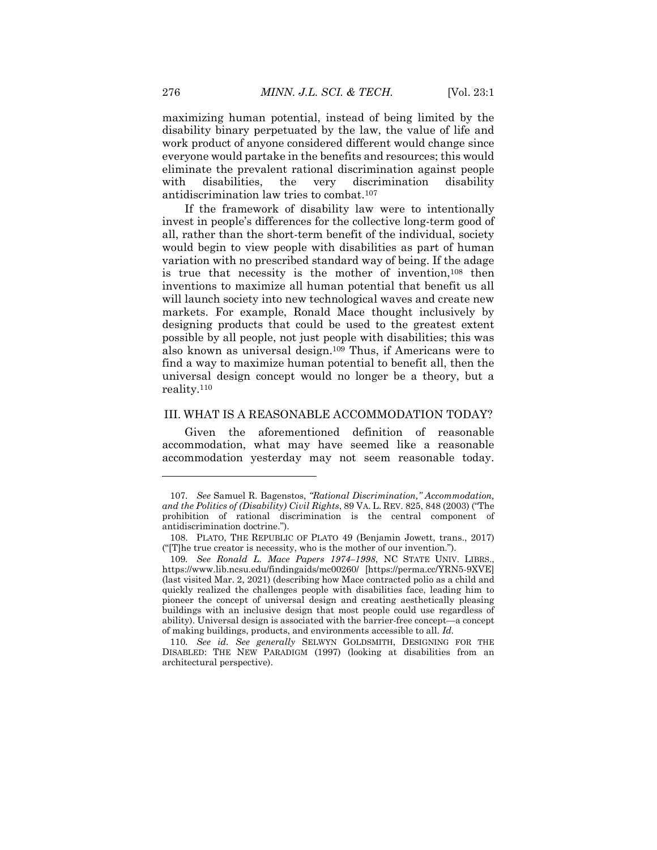maximizing human potential, instead of being limited by the disability binary perpetuated by the law, the value of life and work product of anyone considered different would change since everyone would partake in the benefits and resources; this would eliminate the prevalent rational discrimination against people with disabilities, the very discrimination disability antidiscrimination law tries to combat.<sup>107</sup>

If the framework of disability law were to intentionally invest in people's differences for the collective long-term good of all, rather than the short-term benefit of the individual, society would begin to view people with disabilities as part of human variation with no prescribed standard way of being. If the adage is true that necessity is the mother of invention,<sup>108</sup> then inventions to maximize all human potential that benefit us all will launch society into new technological waves and create new markets. For example, Ronald Mace thought inclusively by designing products that could be used to the greatest extent possible by all people, not just people with disabilities; this was also known as universal design.<sup>109</sup> Thus, if Americans were to find a way to maximize human potential to benefit all, then the universal design concept would no longer be a theory, but a reality.<sup>110</sup>

#### III. WHAT IS A REASONABLE ACCOMMODATION TODAY?

Given the aforementioned definition of reasonable accommodation, what may have seemed like a reasonable accommodation yesterday may not seem reasonable today.

<sup>107</sup>*. See* Samuel R. Bagenstos, *"Rational Discrimination," Accommodation, and the Politics of (Disability) Civil Rights*, 89 VA. L. REV. 825, 848 (2003) ("The prohibition of rational discrimination is the central component of antidiscrimination doctrine.").

<sup>108.</sup> PLATO, THE REPUBLIC OF PLATO 49 (Benjamin Jowett, trans., 2017) ("[T]he true creator is necessity, who is the mother of our invention.").

<sup>109</sup>*. See Ronald L. Mace Papers 1974–1998*, NC STATE UNIV. LIBRS., https://www.lib.ncsu.edu/findingaids/mc00260/ [https://perma.cc/YRN5-9XVE] (last visited Mar. 2, 2021) (describing how Mace contracted polio as a child and quickly realized the challenges people with disabilities face, leading him to pioneer the concept of universal design and creating aesthetically pleasing buildings with an inclusive design that most people could use regardless of ability). Universal design is associated with the barrier-free concept—a concept of making buildings, products, and environments accessible to all. *Id.*

<sup>110</sup>*. See id. See generally* SELWYN GOLDSMITH, DESIGNING FOR THE DISABLED: THE NEW PARADIGM (1997) (looking at disabilities from an architectural perspective).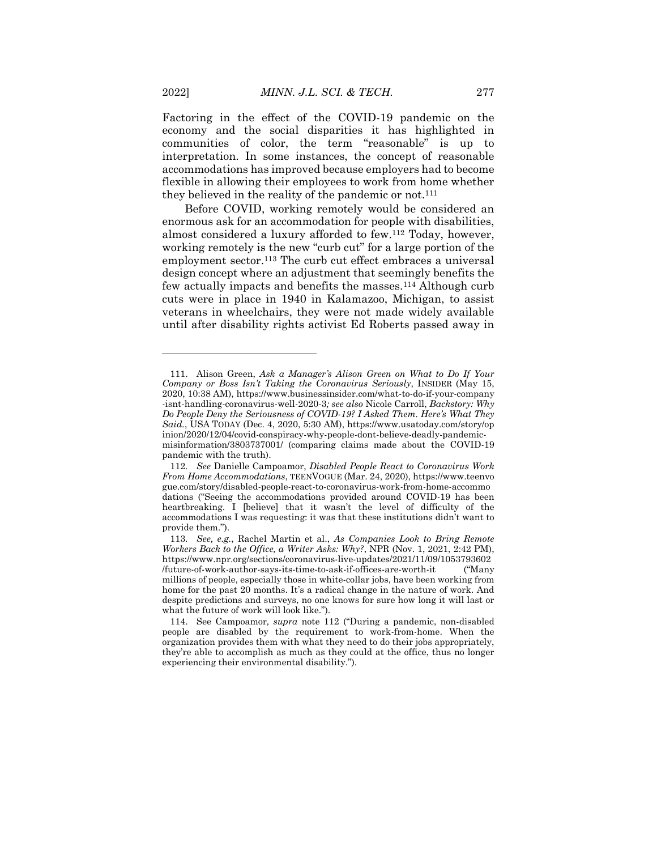Factoring in the effect of the COVID-19 pandemic on the economy and the social disparities it has highlighted in communities of color, the term "reasonable" is up to interpretation. In some instances, the concept of reasonable accommodations has improved because employers had to become flexible in allowing their employees to work from home whether they believed in the reality of the pandemic or not.<sup>111</sup>

Before COVID, working remotely would be considered an enormous ask for an accommodation for people with disabilities, almost considered a luxury afforded to few.<sup>112</sup> Today, however, working remotely is the new "curb cut" for a large portion of the employment sector.<sup>113</sup> The curb cut effect embraces a universal design concept where an adjustment that seemingly benefits the few actually impacts and benefits the masses.<sup>114</sup> Although curb cuts were in place in 1940 in Kalamazoo, Michigan, to assist veterans in wheelchairs, they were not made widely available until after disability rights activist Ed Roberts passed away in

<sup>111.</sup> Alison Green, *Ask a Manager's Alison Green on What to Do If Your Company or Boss Isn't Taking the Coronavirus Seriously*, INSIDER (May 15, 2020, 10:38 AM), https://www.businessinsider.com/what-to-do-if-your-company -isnt-handling-coronavirus-well-2020-3*; see also* Nicole Carroll, *Backstory: Why Do People Deny the Seriousness of COVID-19? I Asked Them. Here's What They Said.*, USA TODAY (Dec. 4, 2020, 5:30 AM), https://www.usatoday.com/story/op inion/2020/12/04/covid-conspiracy-why-people-dont-believe-deadly-pandemicmisinformation/3803737001/ (comparing claims made about the COVID-19 pandemic with the truth).

<sup>112</sup>*. See* Danielle Campoamor, *Disabled People React to Coronavirus Work From Home Accommodations*, TEENVOGUE (Mar. 24, 2020), https://www.teenvo gue.com/story/disabled-people-react-to-coronavirus-work-from-home-accommo dations ("Seeing the accommodations provided around COVID-19 has been heartbreaking. I [believe] that it wasn't the level of difficulty of the accommodations I was requesting: it was that these institutions didn't want to provide them.").

<sup>113</sup>*. See, e.g.*, Rachel Martin et al., *As Companies Look to Bring Remote Workers Back to the Office, a Writer Asks: Why?*, NPR (Nov. 1, 2021, 2:42 PM), https://www.npr.org/sections/coronavirus-live-updates/2021/11/09/1053793602 /future-of-work-author-says-its-time-to-ask-if-offices-are-worth-it ("Many millions of people, especially those in white-collar jobs, have been working from home for the past 20 months. It's a radical change in the nature of work. And despite predictions and surveys, no one knows for sure how long it will last or what the future of work will look like.").

<sup>114.</sup> See Campoamor*, supra* note 112 ("During a pandemic, non-disabled people are disabled by the requirement to work-from-home. When the organization provides them with what they need to do their jobs appropriately, they're able to accomplish as much as they could at the office, thus no longer experiencing their environmental disability.").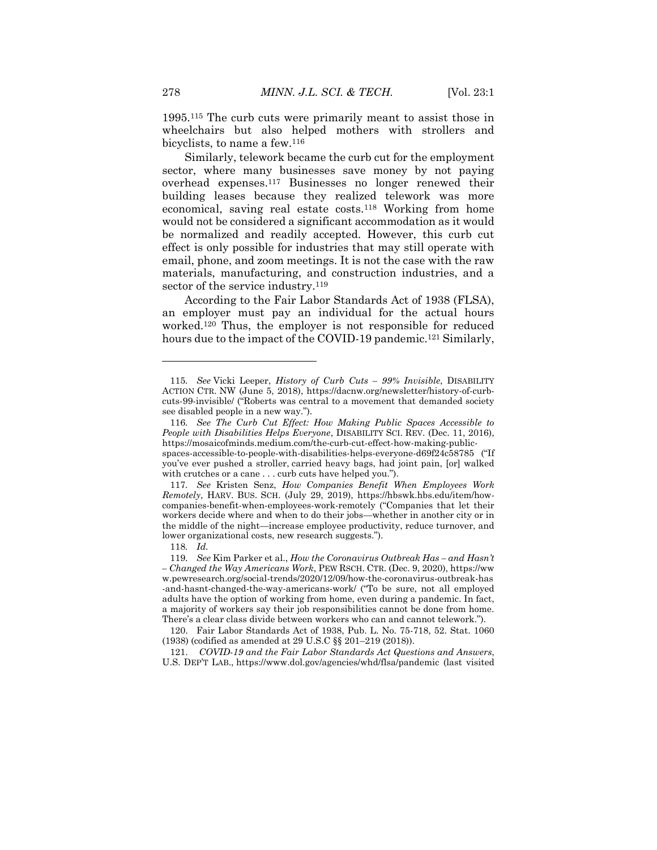1995.<sup>115</sup> The curb cuts were primarily meant to assist those in wheelchairs but also helped mothers with strollers and bicyclists, to name a few.<sup>116</sup>

Similarly, telework became the curb cut for the employment sector, where many businesses save money by not paying overhead expenses.<sup>117</sup> Businesses no longer renewed their building leases because they realized telework was more economical, saving real estate costs.<sup>118</sup> Working from home would not be considered a significant accommodation as it would be normalized and readily accepted. However, this curb cut effect is only possible for industries that may still operate with email, phone, and zoom meetings. It is not the case with the raw materials, manufacturing, and construction industries, and a sector of the service industry.<sup>119</sup>

According to the Fair Labor Standards Act of 1938 (FLSA), an employer must pay an individual for the actual hours worked.<sup>120</sup> Thus, the employer is not responsible for reduced hours due to the impact of the COVID-19 pandemic.<sup>121</sup> Similarly,

118*. Id.*

<sup>115</sup>*. See* Vicki Leeper, *History of Curb Cuts – 99% Invisible*, DISABILITY ACTION CTR. NW (June 5, 2018), https://dacnw.org/newsletter/history-of-curbcuts-99-invisible/ ("Roberts was central to a movement that demanded society see disabled people in a new way.").

<sup>116</sup>*. See The Curb Cut Effect: How Making Public Spaces Accessible to People with Disabilities Helps Everyone*, DISABILITY SCI. REV. (Dec. 11, 2016), https://mosaicofminds.medium.com/the-curb-cut-effect-how-making-public-

spaces-accessible-to-people-with-disabilities-helps-everyone-d69f24c58785 ("If you've ever pushed a stroller, carried heavy bags, had joint pain, [or] walked with crutches or a cane . . . curb cuts have helped you.").

<sup>117</sup>*. See* Kristen Senz, *How Companies Benefit When Employees Work Remotely*, HARV. BUS. SCH. (July 29, 2019), https://hbswk.hbs.edu/item/howcompanies-benefit-when-employees-work-remotely ("Companies that let their workers decide where and when to do their jobs—whether in another city or in the middle of the night—increase employee productivity, reduce turnover, and lower organizational costs, new research suggests.").

<sup>119</sup>*. See* Kim Parker et al., *How the Coronavirus Outbreak Has – and Hasn't – Changed the Way Americans Work*, PEW RSCH. CTR. (Dec. 9, 2020), https://ww w.pewresearch.org/social-trends/2020/12/09/how-the-coronavirus-outbreak-has -and-hasnt-changed-the-way-americans-work/ ("To be sure, not all employed adults have the option of working from home, even during a pandemic. In fact, a majority of workers say their job responsibilities cannot be done from home. There's a clear class divide between workers who can and cannot telework.").

<sup>120.</sup> Fair Labor Standards Act of 1938, Pub. L. No. 75-718, 52. Stat. 1060 (1938) (codified as amended at 29 U.S.C §§ 201–219 (2018)).

<sup>121.</sup> *COVID-19 and the Fair Labor Standards Act Questions and Answers*, U.S. DEP'T LAB., https://www.dol.gov/agencies/whd/flsa/pandemic (last visited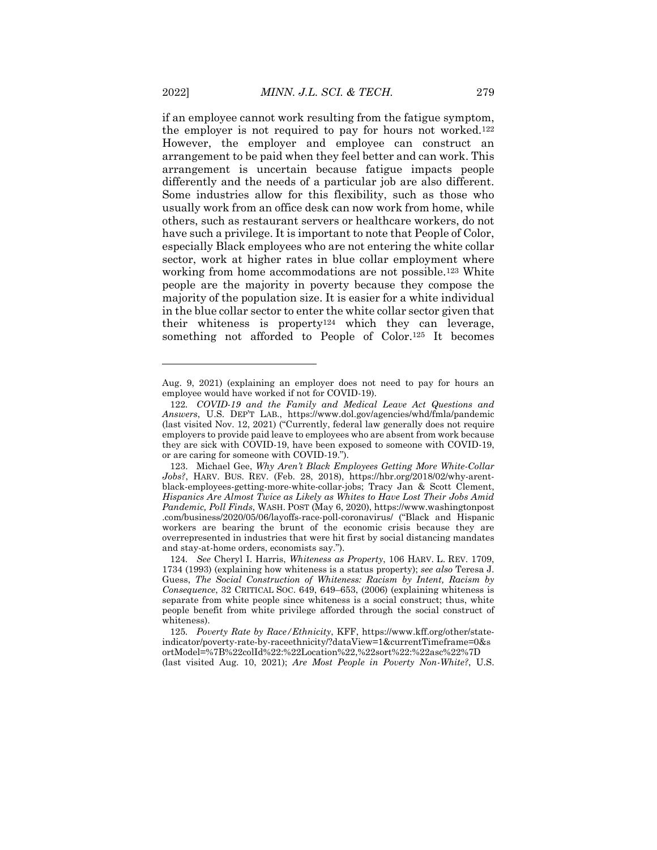if an employee cannot work resulting from the fatigue symptom, the employer is not required to pay for hours not worked.<sup>122</sup> However, the employer and employee can construct an arrangement to be paid when they feel better and can work. This arrangement is uncertain because fatigue impacts people differently and the needs of a particular job are also different. Some industries allow for this flexibility, such as those who usually work from an office desk can now work from home, while others, such as restaurant servers or healthcare workers, do not have such a privilege. It is important to note that People of Color, especially Black employees who are not entering the white collar sector, work at higher rates in blue collar employment where working from home accommodations are not possible.<sup>123</sup> White people are the majority in poverty because they compose the majority of the population size. It is easier for a white individual in the blue collar sector to enter the white collar sector given that their whiteness is property<sup>124</sup> which they can leverage, something not afforded to People of Color.<sup>125</sup> It becomes

Aug. 9, 2021) (explaining an employer does not need to pay for hours an employee would have worked if not for COVID-19).

<sup>122</sup>*. COVID-19 and the Family and Medical Leave Act Questions and Answers*, U.S. DEP'T LAB., https://www.dol.gov/agencies/whd/fmla/pandemic (last visited Nov. 12, 2021) ("Currently, federal law generally does not require employers to provide paid leave to employees who are absent from work because they are sick with COVID-19, have been exposed to someone with COVID-19, or are caring for someone with COVID-19.").

<sup>123.</sup> Michael Gee, *Why Aren't Black Employees Getting More White-Collar Jobs?*, HARV. BUS. REV. (Feb. 28, 2018), https://hbr.org/2018/02/why-arentblack-employees-getting-more-white-collar-jobs; Tracy Jan & Scott Clement, *Hispanics Are Almost Twice as Likely as Whites to Have Lost Their Jobs Amid Pandemic, Poll Finds*, WASH. POST (May 6, 2020), https://www.washingtonpost .com/business/2020/05/06/layoffs-race-poll-coronavirus/ ("Black and Hispanic workers are bearing the brunt of the economic crisis because they are overrepresented in industries that were hit first by social distancing mandates and stay-at-home orders, economists say.").

<sup>124</sup>*. See* Cheryl I. Harris, *Whiteness as Property*, 106 HARV. L. REV. 1709, 1734 (1993) (explaining how whiteness is a status property); *see also* Teresa J. Guess, *The Social Construction of Whiteness: Racism by Intent, Racism by Consequence*, 32 CRITICAL SOC. 649, 649–653, (2006) (explaining whiteness is separate from white people since whiteness is a social construct; thus, white people benefit from white privilege afforded through the social construct of whiteness).

<sup>125</sup>*. Poverty Rate by Race/Ethnicity*, KFF, https://www.kff.org/other/stateindicator/poverty-rate-by-raceethnicity/?dataView=1&currentTimeframe=0&s ortModel=%7B%22colId%22:%22Location%22,%22sort%22:%22asc%22%7D (last visited Aug. 10, 2021); *Are Most People in Poverty Non-White?*, U.S.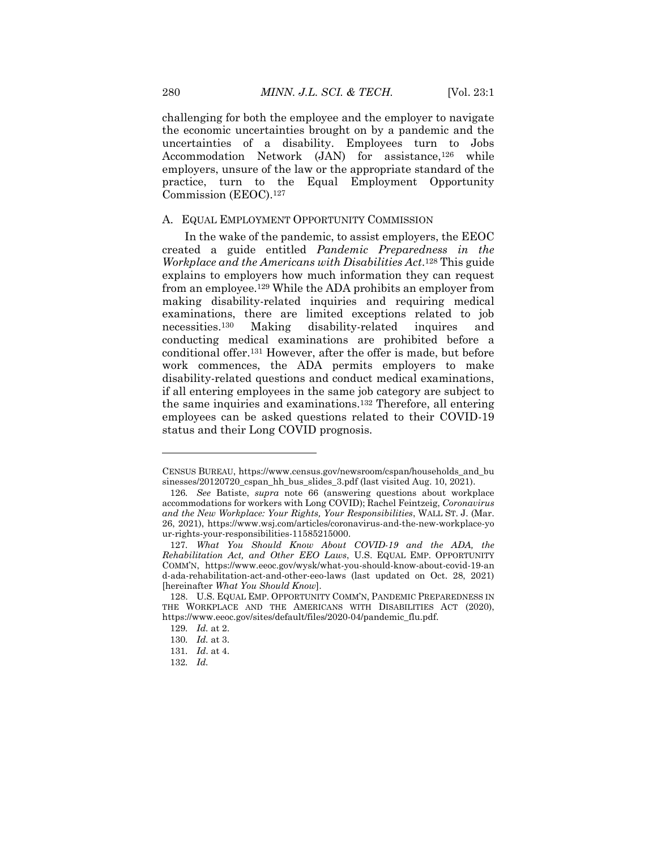challenging for both the employee and the employer to navigate the economic uncertainties brought on by a pandemic and the uncertainties of a disability. Employees turn to Jobs Accommodation Network (JAN) for assistance,<sup>126</sup> while employers, unsure of the law or the appropriate standard of the practice, turn to the Equal Employment Opportunity Commission (EEOC).<sup>127</sup>

#### A. EQUAL EMPLOYMENT OPPORTUNITY COMMISSION

In the wake of the pandemic, to assist employers, the EEOC created a guide entitled *Pandemic Preparedness in the Workplace and the Americans with Disabilities Act*. <sup>128</sup> This guide explains to employers how much information they can request from an employee.<sup>129</sup> While the ADA prohibits an employer from making disability-related inquiries and requiring medical examinations, there are limited exceptions related to job necessities.<sup>130</sup> Making disability-related inquires and conducting medical examinations are prohibited before a conditional offer.<sup>131</sup> However, after the offer is made, but before work commences, the ADA permits employers to make disability-related questions and conduct medical examinations, if all entering employees in the same job category are subject to the same inquiries and examinations.<sup>132</sup> Therefore, all entering employees can be asked questions related to their COVID-19 status and their Long COVID prognosis.

CENSUS BUREAU, https://www.census.gov/newsroom/cspan/households\_and\_bu sinesses/20120720\_cspan\_hh\_bus\_slides\_3.pdf (last visited Aug. 10, 2021).

<sup>126</sup>*. See* Batiste, *supra* note 66 (answering questions about workplace accommodations for workers with Long COVID); Rachel Feintzeig, *Coronavirus and the New Workplace: Your Rights, Your Responsibilities*, WALL ST. J. (Mar. 26, 2021), https://www.wsj.com/articles/coronavirus-and-the-new-workplace-yo ur-rights-your-responsibilities-11585215000.

<sup>127</sup>*. What You Should Know About COVID-19 and the ADA, the Rehabilitation Act, and Other EEO Laws*, U.S. EQUAL EMP. OPPORTUNITY COMM'N, https://www.eeoc.gov/wysk/what-you-should-know-about-covid-19-an d-ada-rehabilitation-act-and-other-eeo-laws (last updated on Oct. 28, 2021) [hereinafter *What You Should Know*].

<sup>128.</sup> U.S. EQUAL EMP. OPPORTUNITY COMM'N, PANDEMIC PREPAREDNESS IN THE WORKPLACE AND THE AMERICANS WITH DISABILITIES ACT (2020), https://www.eeoc.gov/sites/default/files/2020-04/pandemic\_flu.pdf.

<sup>129</sup>*. Id.* at 2.

<sup>130</sup>*. Id.* at 3.

<sup>131</sup>*. Id*. at 4.

<sup>132</sup>*. Id.*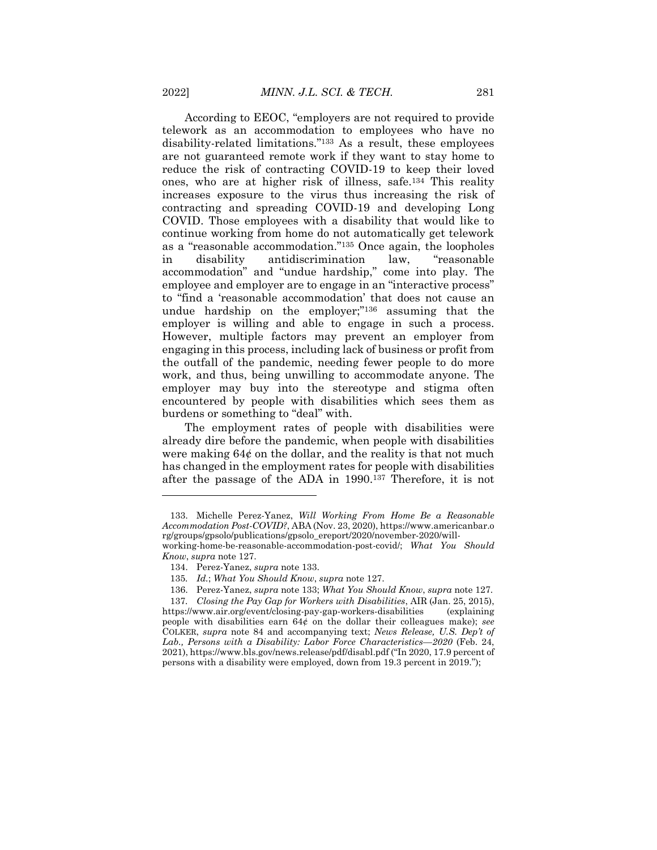According to EEOC, "employers are not required to provide telework as an accommodation to employees who have no disability-related limitations."<sup>133</sup> As a result, these employees are not guaranteed remote work if they want to stay home to reduce the risk of contracting COVID-19 to keep their loved ones, who are at higher risk of illness, safe.<sup>134</sup> This reality increases exposure to the virus thus increasing the risk of contracting and spreading COVID-19 and developing Long COVID. Those employees with a disability that would like to continue working from home do not automatically get telework as a "reasonable accommodation."<sup>135</sup> Once again, the loopholes in disability antidiscrimination law, "reasonable accommodation" and "undue hardship," come into play. The employee and employer are to engage in an "interactive process" to "find a 'reasonable accommodation' that does not cause an undue hardship on the employer;"<sup>136</sup> assuming that the employer is willing and able to engage in such a process. However, multiple factors may prevent an employer from engaging in this process, including lack of business or profit from the outfall of the pandemic, needing fewer people to do more work, and thus, being unwilling to accommodate anyone. The employer may buy into the stereotype and stigma often encountered by people with disabilities which sees them as burdens or something to "deal" with.

The employment rates of people with disabilities were already dire before the pandemic, when people with disabilities were making  $64¢$  on the dollar, and the reality is that not much has changed in the employment rates for people with disabilities after the passage of the ADA in 1990.<sup>137</sup> Therefore, it is not

<sup>133.</sup> Michelle Perez-Yanez, *Will Working From Home Be a Reasonable Accommodation Post-COVID?*, ABA (Nov. 23, 2020), https://www.americanbar.o rg/groups/gpsolo/publications/gpsolo\_ereport/2020/november-2020/willworking-home-be-reasonable-accommodation-post-covid/; *What You Should*

*Know*, *supra* note 127.

<sup>134.</sup> Perez-Yanez, *supra* note 133.

<sup>135</sup>*. Id.*; *What You Should Know*, *supra* note 127.

<sup>136.</sup> Perez-Yanez, *supra* note 133; *What You Should Know*, *supra* note 127. 137*. Closing the Pay Gap for Workers with Disabilities*, AIR (Jan. 25, 2015), https://www.air.org/event/closing-pay-gap-workers-disabilities (explaining people with disabilities earn 64¢ on the dollar their colleagues make); *see* COLKER, *supra* note 84 and accompanying text; *News Release, U.S. Dep't of Lab., Persons with a Disability: Labor Force Characteristics—2020* (Feb. 24, 2021), https://www.bls.gov/news.release/pdf/disabl.pdf ("In 2020, 17.9 percent of persons with a disability were employed, down from 19.3 percent in 2019.");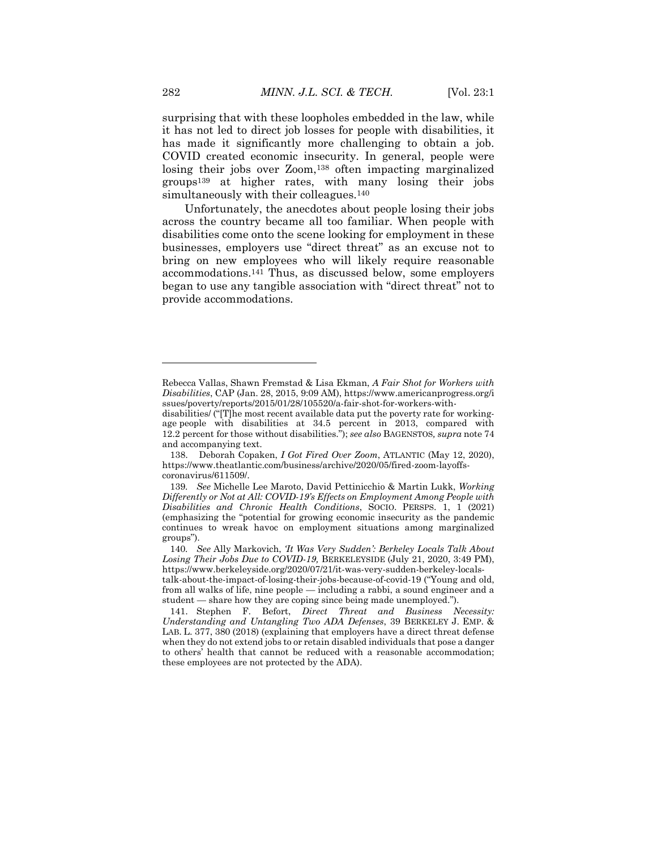surprising that with these loopholes embedded in the law, while it has not led to direct job losses for people with disabilities, it has made it significantly more challenging to obtain a job. COVID created economic insecurity. In general, people were losing their jobs over Zoom,<sup>138</sup> often impacting marginalized groups<sup>139</sup> at higher rates, with many losing their jobs simultaneously with their colleagues.<sup>140</sup>

Unfortunately, the anecdotes about people losing their jobs across the country became all too familiar. When people with disabilities come onto the scene looking for employment in these businesses, employers use "direct threat" as an excuse not to bring on new employees who will likely require reasonable accommodations.<sup>141</sup> Thus, as discussed below, some employers began to use any tangible association with "direct threat" not to provide accommodations.

138. Deborah Copaken, *I Got Fired Over Zoom*, ATLANTIC (May 12, 2020), https://www.theatlantic.com/business/archive/2020/05/fired-zoom-layoffscoronavirus/611509/.

 $\overline{a}$ 

Rebecca Vallas, Shawn Fremstad & Lisa Ekman, *A Fair Shot for Workers with Disabilities*, CAP (Jan. 28, 2015, 9:09 AM), https://www.americanprogress.org/i ssues/poverty/reports/2015/01/28/105520/a-fair-shot-for-workers-with-

disabilities/ ("[T]he most recent available data put the poverty rate for workingage people with disabilities at 34.5 percent in 2013, compared with 12.2 percent for those without disabilities."); *see also* BAGENSTOS*, supra* note 74 and accompanying text.

<sup>139</sup>*. See* Michelle Lee Maroto, David Pettinicchio & Martin Lukk, *Working Differently or Not at All: COVID-19's Effects on Employment Among People with Disabilities and Chronic Health Conditions*, SOCIO. PERSPS. 1, 1 (2021) (emphasizing the "potential for growing economic insecurity as the pandemic continues to wreak havoc on employment situations among marginalized groups").

<sup>140</sup>*. See* Ally Markovich, *'It Was Very Sudden': Berkeley Locals Talk About Losing Their Jobs Due to COVID-19,* BERKELEYSIDE (July 21, 2020, 3:49 PM), https://www.berkeleyside.org/2020/07/21/it-was-very-sudden-berkeley-localstalk-about-the-impact-of-losing-their-jobs-because-of-covid-19 ("Young and old, from all walks of life, nine people — including a rabbi, a sound engineer and a student — share how they are coping since being made unemployed.").

<sup>141.</sup> Stephen F. Befort, *Direct Threat and Business Necessity: Understanding and Untangling Two ADA Defenses*, 39 BERKELEY J. EMP. & LAB. L. 377, 380 (2018) (explaining that employers have a direct threat defense when they do not extend jobs to or retain disabled individuals that pose a danger to others' health that cannot be reduced with a reasonable accommodation; these employees are not protected by the ADA).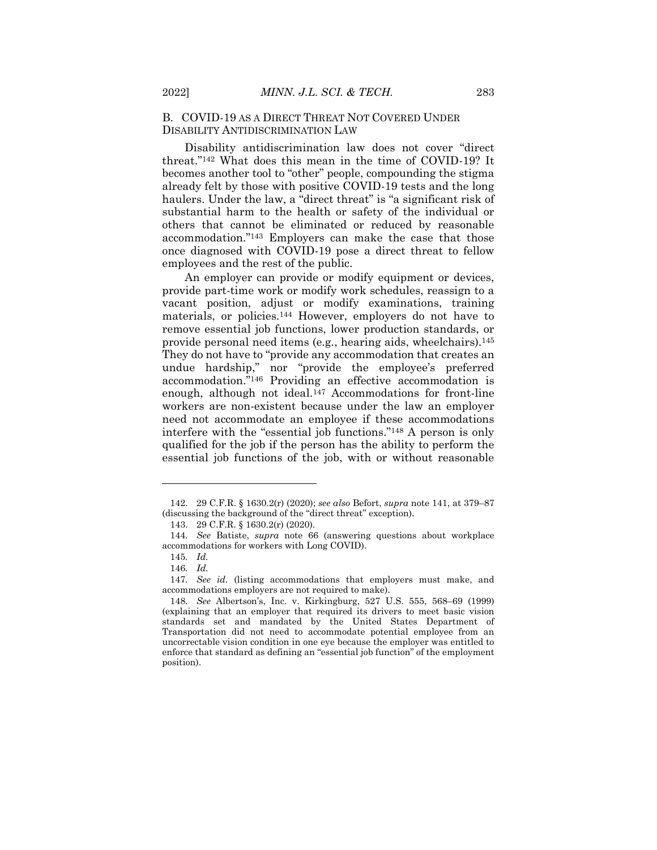### B. COVID-19 AS A DIRECT THREAT NOT COVERED UNDER DISABILITY ANTIDISCRIMINATION LAW

Disability antidiscrimination law does not cover "direct threat."<sup>142</sup> What does this mean in the time of COVID-19? It becomes another tool to "other" people, compounding the stigma already felt by those with positive COVID-19 tests and the long haulers. Under the law, a "direct threat" is "a significant risk of substantial harm to the health or safety of the individual or others that cannot be eliminated or reduced by reasonable accommodation."<sup>143</sup> Employers can make the case that those once diagnosed with COVID-19 pose a direct threat to fellow employees and the rest of the public.

An employer can provide or modify equipment or devices, provide part-time work or modify work schedules, reassign to a vacant position, adjust or modify examinations, training materials, or policies.<sup>144</sup> However, employers do not have to remove essential job functions, lower production standards, or provide personal need items (e.g*.*, hearing aids, wheelchairs).<sup>145</sup> They do not have to "provide any accommodation that creates an undue hardship," nor "provide the employee's preferred accommodation."<sup>146</sup> Providing an effective accommodation is enough, although not ideal.<sup>147</sup> Accommodations for front-line workers are non-existent because under the law an employer need not accommodate an employee if these accommodations interfere with the "essential job functions."<sup>148</sup> A person is only qualified for the job if the person has the ability to perform the essential job functions of the job, with or without reasonable

<sup>142.</sup> 29 C.F.R. § 1630.2(r) (2020); *see also* Befort, *supra* note 141, at 379–87 (discussing the background of the "direct threat" exception).

<sup>143.</sup> 29 C.F.R. § 1630.2(r) (2020).

<sup>144</sup>*. See* Batiste, *supra* note 66 (answering questions about workplace accommodations for workers with Long COVID).

<sup>145</sup>*. Id.*

<sup>146</sup>*. Id.*

<sup>147</sup>*. See id.* (listing accommodations that employers must make, and accommodations employers are not required to make).

<sup>148</sup>*. See* Albertson's, Inc. v. Kirkingburg, 527 U.S. 555, 568–69 (1999) (explaining that an employer that required its drivers to meet basic vision standards set and mandated by the United States Department of Transportation did not need to accommodate potential employee from an uncorrectable vision condition in one eye because the employer was entitled to enforce that standard as defining an "essential job function" of the employment position).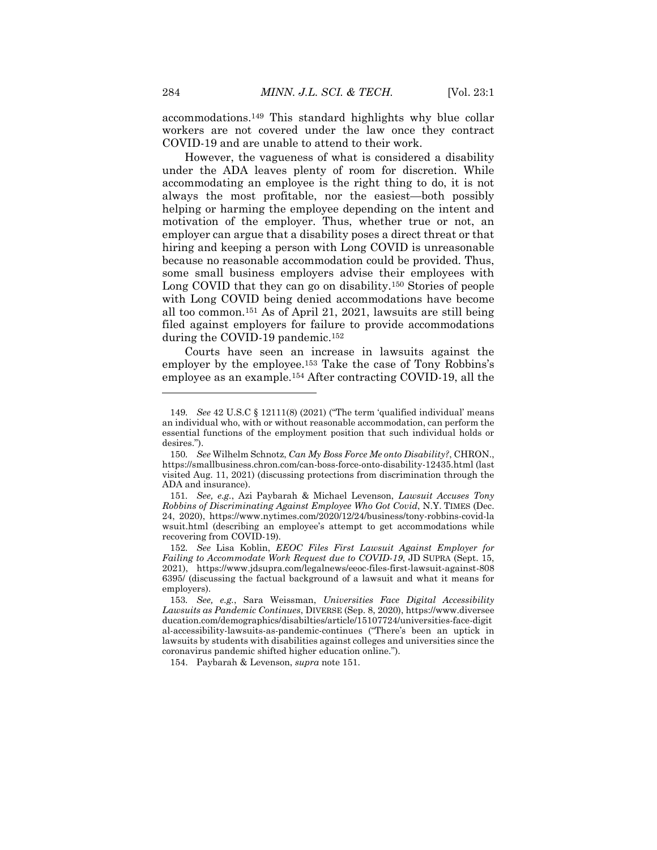accommodations.<sup>149</sup> This standard highlights why blue collar workers are not covered under the law once they contract COVID-19 and are unable to attend to their work.

However, the vagueness of what is considered a disability under the ADA leaves plenty of room for discretion. While accommodating an employee is the right thing to do, it is not always the most profitable, nor the easiest—both possibly helping or harming the employee depending on the intent and motivation of the employer. Thus, whether true or not, an employer can argue that a disability poses a direct threat or that hiring and keeping a person with Long COVID is unreasonable because no reasonable accommodation could be provided. Thus, some small business employers advise their employees with Long COVID that they can go on disability.<sup>150</sup> Stories of people with Long COVID being denied accommodations have become all too common.<sup>151</sup> As of April 21, 2021, lawsuits are still being filed against employers for failure to provide accommodations during the COVID-19 pandemic.<sup>152</sup>

Courts have seen an increase in lawsuits against the employer by the employee.<sup>153</sup> Take the case of Tony Robbins's employee as an example.<sup>154</sup> After contracting COVID-19, all the

<sup>149</sup>*. See* 42 U.S.C § 12111(8) (2021) ("The term 'qualified individual' means an individual who, with or without reasonable accommodation, can perform the essential functions of the employment position that such individual holds or desires.").

<sup>150</sup>*. See* Wilhelm Schnotz, *Can My Boss Force Me onto Disability?*, CHRON., https://smallbusiness.chron.com/can-boss-force-onto-disability-12435.html (last visited Aug. 11, 2021) (discussing protections from discrimination through the ADA and insurance).

<sup>151</sup>*. See, e.g.*, Azi Paybarah & Michael Levenson, *Lawsuit Accuses Tony Robbins of Discriminating Against Employee Who Got Covid*, N.Y. TIMES (Dec. 24, 2020), https://www.nytimes.com/2020/12/24/business/tony-robbins-covid-la wsuit.html (describing an employee's attempt to get accommodations while recovering from COVID-19).

<sup>152</sup>*. See* Lisa Koblin, *EEOC Files First Lawsuit Against Employer for Failing to Accommodate Work Request due to COVID-19*, JD SUPRA (Sept. 15, 2021), https://www.jdsupra.com/legalnews/eeoc-files-first-lawsuit-against-808 6395/ (discussing the factual background of a lawsuit and what it means for employers).

<sup>153</sup>*. See, e.g.*, Sara Weissman, *Universities Face Digital Accessibility Lawsuits as Pandemic Continues*, DIVERSE (Sep. 8, 2020), https://www.diversee ducation.com/demographics/disabilties/article/15107724/universities-face-digit al-accessibility-lawsuits-as-pandemic-continues ("There's been an uptick in lawsuits by students with disabilities against colleges and universities since the coronavirus pandemic shifted higher education online.").

<sup>154.</sup> Paybarah & Levenson, *supra* note 151.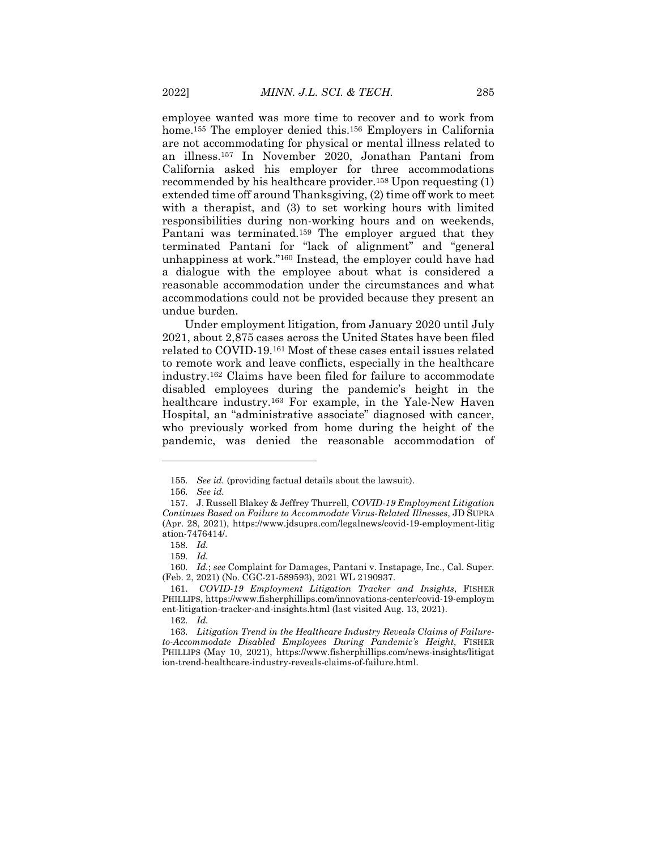employee wanted was more time to recover and to work from home.<sup>155</sup> The employer denied this.<sup>156</sup> Employers in California are not accommodating for physical or mental illness related to an illness.<sup>157</sup> In November 2020, Jonathan Pantani from California asked his employer for three accommodations recommended by his healthcare provider.<sup>158</sup> Upon requesting (1) extended time off around Thanksgiving, (2) time off work to meet with a therapist, and (3) to set working hours with limited responsibilities during non-working hours and on weekends, Pantani was terminated.<sup>159</sup> The employer argued that they terminated Pantani for "lack of alignment" and "general unhappiness at work."<sup>160</sup> Instead, the employer could have had a dialogue with the employee about what is considered a reasonable accommodation under the circumstances and what accommodations could not be provided because they present an undue burden.

Under employment litigation, from January 2020 until July 2021, about 2,875 cases across the United States have been filed related to COVID-19.<sup>161</sup> Most of these cases entail issues related to remote work and leave conflicts, especially in the healthcare industry.<sup>162</sup> Claims have been filed for failure to accommodate disabled employees during the pandemic's height in the healthcare industry.<sup>163</sup> For example, in the Yale-New Haven Hospital, an "administrative associate" diagnosed with cancer, who previously worked from home during the height of the pandemic, was denied the reasonable accommodation of

 $\overline{\phantom{a}}$ 

162*. Id.*

163*. Litigation Trend in the Healthcare Industry Reveals Claims of Failureto-Accommodate Disabled Employees During Pandemic's Height*, FISHER PHILLIPS (May 10, 2021), https://www.fisherphillips.com/news-insights/litigat ion-trend-healthcare-industry-reveals-claims-of-failure.html.

<sup>155</sup>*. See id.* (providing factual details about the lawsuit).

<sup>156</sup>*. See id.*

<sup>157.</sup> J. Russell Blakey & Jeffrey Thurrell, *COVID-19 Employment Litigation Continues Based on Failure to Accommodate Virus-Related Illnesses*, JD SUPRA (Apr. 28, 2021), https://www.jdsupra.com/legalnews/covid-19-employment-litig ation-7476414/.

<sup>158</sup>*. Id.*

<sup>159</sup>*. Id.*

<sup>160</sup>*. Id.*; *see* Complaint for Damages, Pantani v. Instapage, Inc., Cal. Super. (Feb. 2, 2021) (No. CGC-21-589593), 2021 WL 2190937.

<sup>161.</sup> *COVID-19 Employment Litigation Tracker and Insights*, FISHER PHILLIPS, https://www.fisherphillips.com/innovations-center/covid-19-employm ent-litigation-tracker-and-insights.html (last visited Aug. 13, 2021).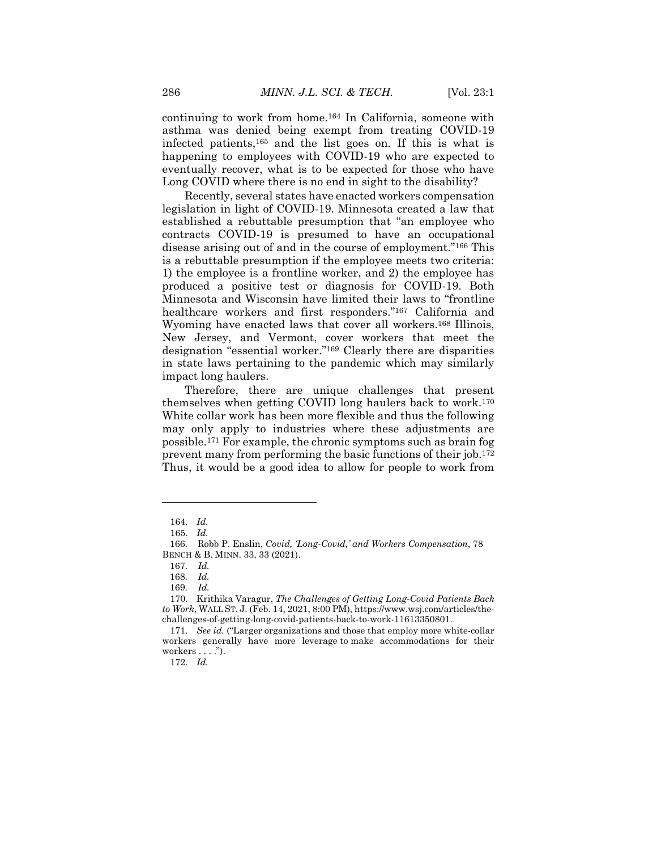continuing to work from home.<sup>164</sup> In California, someone with asthma was denied being exempt from treating COVID-19 infected patients,<sup>165</sup> and the list goes on. If this is what is happening to employees with COVID-19 who are expected to eventually recover, what is to be expected for those who have Long COVID where there is no end in sight to the disability?

Recently, several states have enacted workers compensation legislation in light of COVID-19. Minnesota created a law that established a rebuttable presumption that "an employee who contracts COVID-19 is presumed to have an occupational disease arising out of and in the course of employment."<sup>166</sup> This is a rebuttable presumption if the employee meets two criteria: 1) the employee is a frontline worker, and 2) the employee has produced a positive test or diagnosis for COVID-19. Both Minnesota and Wisconsin have limited their laws to "frontline healthcare workers and first responders." <sup>167</sup> California and Wyoming have enacted laws that cover all workers.<sup>168</sup> Illinois, New Jersey, and Vermont, cover workers that meet the designation "essential worker."<sup>169</sup> Clearly there are disparities in state laws pertaining to the pandemic which may similarly impact long haulers.

Therefore, there are unique challenges that present themselves when getting COVID long haulers back to work.<sup>170</sup> White collar work has been more flexible and thus the following may only apply to industries where these adjustments are possible.<sup>171</sup> For example, the chronic symptoms such as brain fog prevent many from performing the basic functions of their job.<sup>172</sup> Thus, it would be a good idea to allow for people to work from

 $\overline{a}$ 

172*. Id.*

<sup>164</sup>*. Id.*

<sup>165</sup>*. Id.*

 <sup>166.</sup> Robb P. Enslin, *Covid, 'Long-Covid,' and Workers Compensation*, 78 BENCH & B. MINN. 33, 33 (2021).

 <sup>167.</sup> *Id.* 

 <sup>168.</sup> *Id.* 

 <sup>169.</sup> *Id.* 

<sup>170.</sup> Krithika Varagur, *The Challenges of Getting Long-Covid Patients Back to Work*, WALL ST. J. (Feb. 14, 2021, 8:00 PM), https://www.wsj.com/articles/thechallenges-of-getting-long-covid-patients-back-to-work-11613350801.

<sup>171</sup>*. See id.* ("Larger organizations and those that employ more white-collar workers generally have more leverage to make accommodations for their workers  $\dots$ ").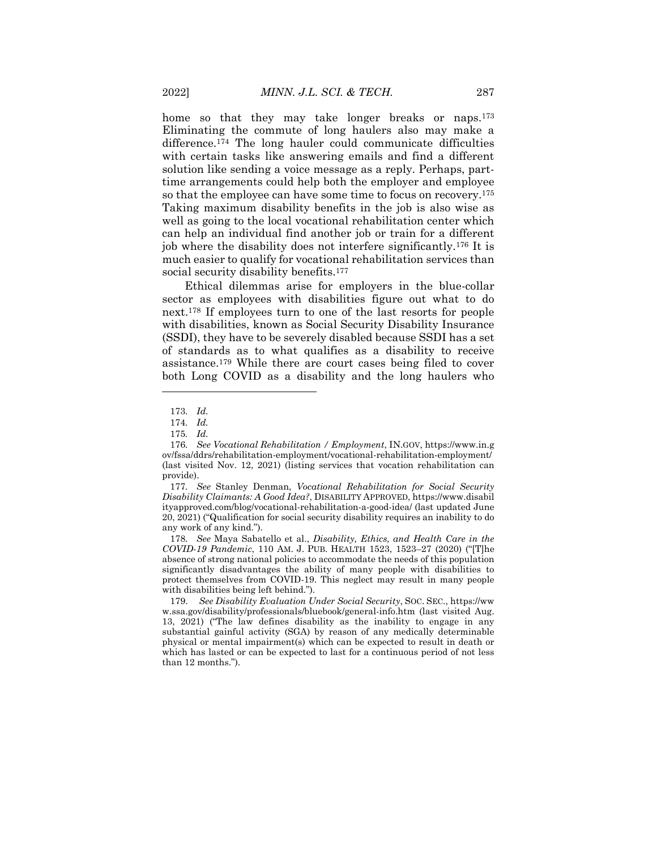home so that they may take longer breaks or naps.<sup>173</sup> Eliminating the commute of long haulers also may make a difference.<sup>174</sup> The long hauler could communicate difficulties with certain tasks like answering emails and find a different solution like sending a voice message as a reply. Perhaps, parttime arrangements could help both the employer and employee so that the employee can have some time to focus on recovery.<sup>175</sup> Taking maximum disability benefits in the job is also wise as well as going to the local vocational rehabilitation center which can help an individual find another job or train for a different job where the disability does not interfere significantly.<sup>176</sup> It is much easier to qualify for vocational rehabilitation services than social security disability benefits.<sup>177</sup>

Ethical dilemmas arise for employers in the blue-collar sector as employees with disabilities figure out what to do next.<sup>178</sup> If employees turn to one of the last resorts for people with disabilities, known as Social Security Disability Insurance (SSDI), they have to be severely disabled because SSDI has a set of standards as to what qualifies as a disability to receive assistance.<sup>179</sup> While there are court cases being filed to cover both Long COVID as a disability and the long haulers who

 $\overline{\phantom{a}}$ 

178*. See* Maya Sabatello et al., *Disability, Ethics, and Health Care in the COVID-19 Pandemic*, 110 AM. J. PUB. HEALTH 1523, 1523–27 (2020) ("[T]he absence of strong national policies to accommodate the needs of this population significantly disadvantages the ability of many people with disabilities to protect themselves from COVID-19. This neglect may result in many people with disabilities being left behind.").

179. *See Disability Evaluation Under Social Security*, SOC. SEC., https://ww w.ssa.gov/disability/professionals/bluebook/general-info.htm (last visited Aug. 13, 2021) ("The law defines disability as the inability to engage in any substantial gainful activity (SGA) by reason of any medically determinable physical or mental impairment(s) which can be expected to result in death or which has lasted or can be expected to last for a continuous period of not less than 12 months.").

<sup>173</sup>*. Id.*

<sup>174</sup>*. Id.*

<sup>175</sup>*. Id.*

<sup>176</sup>*. See Vocational Rehabilitation / Employment*, IN.GOV, https://www.in.g ov/fssa/ddrs/rehabilitation-employment/vocational-rehabilitation-employment/ (last visited Nov. 12, 2021) (listing services that vocation rehabilitation can provide).

<sup>177</sup>*. See* Stanley Denman, *Vocational Rehabilitation for Social Security Disability Claimants: A Good Idea?*, DISABILITY APPROVED, https://www.disabil ityapproved.com/blog/vocational-rehabilitation-a-good-idea/ (last updated June 20, 2021) ("Qualification for social security disability requires an inability to do any work of any kind.").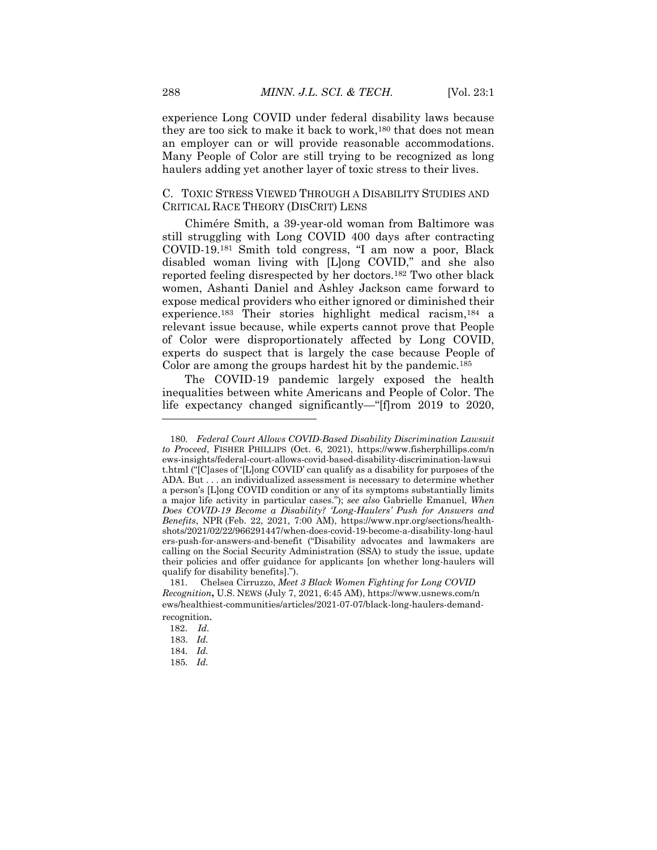experience Long COVID under federal disability laws because they are too sick to make it back to work,<sup>180</sup> that does not mean an employer can or will provide reasonable accommodations. Many People of Color are still trying to be recognized as long haulers adding yet another layer of toxic stress to their lives.

# C. TOXIC STRESS VIEWED THROUGH A DISABILITY STUDIES AND CRITICAL RACE THEORY (DISCRIT) LENS

Chimére Smith, a 39-year-old woman from Baltimore was still struggling with Long COVID 400 days after contracting COVID-19. <sup>181</sup> Smith told congress, "I am now a poor, Black disabled woman living with [L]ong COVID," and she also reported feeling disrespected by her doctors.<sup>182</sup> Two other black women, Ashanti Daniel and Ashley Jackson came forward to expose medical providers who either ignored or diminished their experience.<sup>183</sup> Their stories highlight medical racism,<sup>184</sup> a relevant issue because, while experts cannot prove that People of Color were disproportionately affected by Long COVID, experts do suspect that is largely the case because People of Color are among the groups hardest hit by the pandemic.<sup>185</sup>

The COVID-19 pandemic largely exposed the health inequalities between white Americans and People of Color. The life expectancy changed significantly—"[f]rom 2019 to 2020,

<sup>180</sup>*. Federal Court Allows COVID-Based Disability Discrimination Lawsuit to Proceed*, FISHER PHILLIPS (Oct. 6, 2021), https://www.fisherphillips.com/n ews-insights/federal-court-allows-covid-based-disability-discrimination-lawsui t.html ("[C]ases of '[L]ong COVID' can qualify as a disability for purposes of the ADA. But . . . an individualized assessment is necessary to determine whether a person's [L]ong COVID condition or any of its symptoms substantially limits a major life activity in particular cases."); *see also* Gabrielle Emanuel, *When Does COVID-19 Become a Disability? 'Long-Haulers' Push for Answers and Benefits*, NPR (Feb. 22, 2021, 7:00 AM), https://www.npr.org/sections/healthshots/2021/02/22/966291447/when-does-covid-19-become-a-disability-long-haul ers-push-for-answers-and-benefit ("Disability advocates and lawmakers are calling on the Social Security Administration (SSA) to study the issue, update their policies and offer guidance for applicants [on whether long-haulers will qualify for disability benefits].").

 <sup>181.</sup> Chelsea Cirruzzo, *Meet 3 Black Women Fighting for Long COVID Recognition***,** U.S. NEWS (July 7, 2021, 6:45 AM), https://www.usnews.com/n ews/healthiest-communities/articles/2021-07-07/black-long-haulers-demandrecognition.

 <sup>182.</sup> *Id.*

<sup>183.</sup> *Id.*

<sup>184</sup>*. Id.*

<sup>185</sup>*. Id.*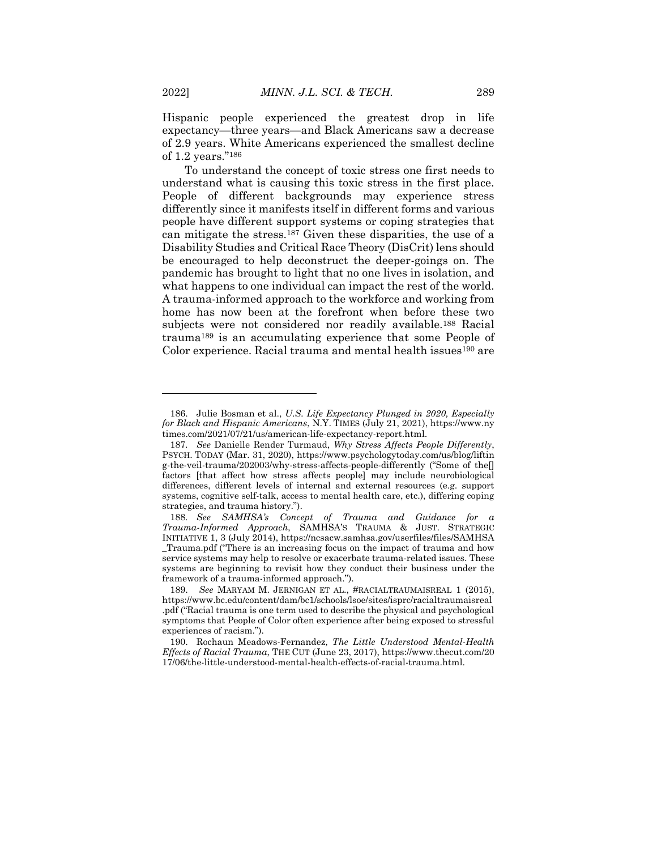Hispanic people experienced the greatest drop in life expectancy—three years—and Black Americans saw a decrease of 2.9 years. White Americans experienced the smallest decline of 1.2 years."<sup>186</sup>

To understand the concept of toxic stress one first needs to understand what is causing this toxic stress in the first place. People of different backgrounds may experience stress differently since it manifests itself in different forms and various people have different support systems or coping strategies that can mitigate the stress.<sup>187</sup> Given these disparities, the use of a Disability Studies and Critical Race Theory (DisCrit) lens should be encouraged to help deconstruct the deeper-goings on. The pandemic has brought to light that no one lives in isolation, and what happens to one individual can impact the rest of the world. A trauma-informed approach to the workforce and working from home has now been at the forefront when before these two subjects were not considered nor readily available.<sup>188</sup> Racial trauma<sup>189</sup> is an accumulating experience that some People of Color experience. Racial trauma and mental health issues<sup>190</sup> are

 $\overline{a}$ 

<sup>186.</sup> Julie Bosman et al., *U.S. Life Expectancy Plunged in 2020, Especially for Black and Hispanic Americans*, N.Y. TIMES (July 21, 2021), https://www.ny times.com/2021/07/21/us/american-life-expectancy-report.html.

<sup>187</sup>*. See* Danielle Render Turmaud, *Why Stress Affects People Differently*, PSYCH. TODAY (Mar. 31, 2020), https://www.psychologytoday.com/us/blog/liftin g-the-veil-trauma/202003/why-stress-affects-people-differently ("Some of the[] factors [that affect how stress affects people] may include neurobiological differences, different levels of internal and external resources (e.g. support systems, cognitive self-talk, access to mental health care, etc.), differing coping strategies, and trauma history.").

<sup>188</sup>*. See SAMHSA's Concept of Trauma and Guidance for a Trauma-Informed Approach*, SAMHSA'S TRAUMA & JUST. STRATEGIC INITIATIVE 1, 3 (July 2014), https://ncsacw.samhsa.gov/userfiles/files/SAMHSA \_Trauma.pdf ("There is an increasing focus on the impact of trauma and how service systems may help to resolve or exacerbate trauma-related issues. These systems are beginning to revisit how they conduct their business under the framework of a trauma-informed approach.").

<sup>189.</sup> *See* MARYAM M. JERNIGAN ET AL., #RACIALTRAUMAISREAL 1 (2015), https://www.bc.edu/content/dam/bc1/schools/lsoe/sites/isprc/racialtraumaisreal .pdf ("Racial trauma is one term used to describe the physical and psychological symptoms that People of Color often experience after being exposed to stressful experiences of racism.").

<sup>190.</sup> Rochaun Meadows-Fernandez, *The Little Understood Mental-Health Effects of Racial Trauma*, THE CUT (June 23, 2017), https://www.thecut.com/20 17/06/the-little-understood-mental-health-effects-of-racial-trauma.html.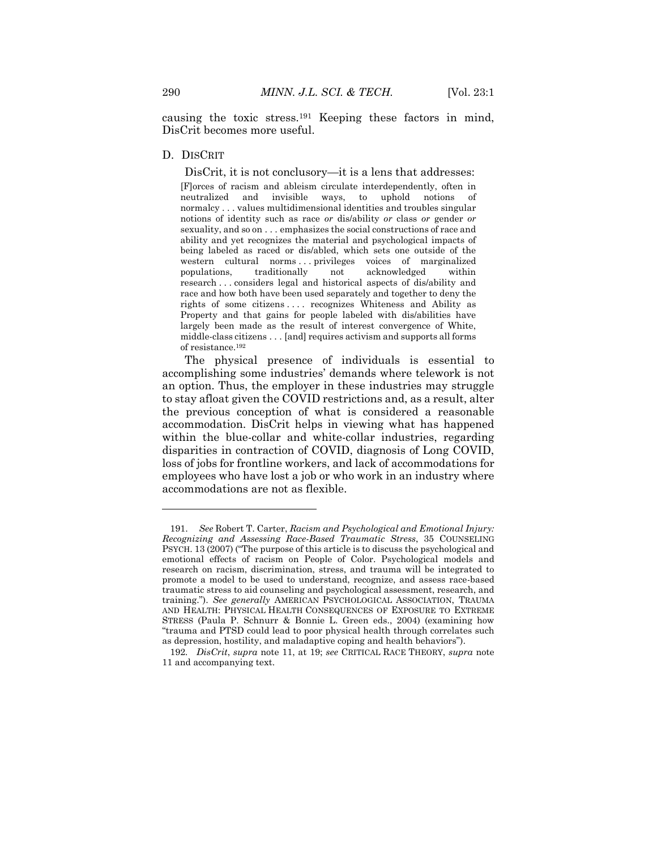causing the toxic stress.<sup>191</sup> Keeping these factors in mind, DisCrit becomes more useful.

#### D. DISCRIT

DisCrit, it is not conclusory—it is a lens that addresses:

[F]orces of racism and ableism circulate interdependently, often in neutralized and invisible ways, to uphold notions of normalcy . . . values multidimensional identities and troubles singular notions of identity such as race *or* dis/ability *or* class *or* gender *or* sexuality, and so on . . . emphasizes the social constructions of race and ability and yet recognizes the material and psychological impacts of being labeled as raced or dis/abled, which sets one outside of the western cultural norms ... privileges voices of marginalized populations, traditionally not acknowledged within research . . . considers legal and historical aspects of dis/ability and race and how both have been used separately and together to deny the rights of some citizens . . . . recognizes Whiteness and Ability as Property and that gains for people labeled with dis/abilities have largely been made as the result of interest convergence of White, middle-class citizens . . . [and] requires activism and supports all forms of resistance.<sup>192</sup>

The physical presence of individuals is essential to accomplishing some industries' demands where telework is not an option. Thus, the employer in these industries may struggle to stay afloat given the COVID restrictions and, as a result, alter the previous conception of what is considered a reasonable accommodation. DisCrit helps in viewing what has happened within the blue-collar and white-collar industries, regarding disparities in contraction of COVID, diagnosis of Long COVID, loss of jobs for frontline workers, and lack of accommodations for employees who have lost a job or who work in an industry where accommodations are not as flexible.

<sup>191.</sup> *See* Robert T. Carter, *Racism and Psychological and Emotional Injury: Recognizing and Assessing Race-Based Traumatic Stress*, 35 COUNSELING PSYCH. 13 (2007) ("The purpose of this article is to discuss the psychological and emotional effects of racism on People of Color. Psychological models and research on racism, discrimination, stress, and trauma will be integrated to promote a model to be used to understand, recognize, and assess race-based traumatic stress to aid counseling and psychological assessment, research, and training."). *See generally* AMERICAN PSYCHOLOGICAL ASSOCIATION, TRAUMA AND HEALTH: PHYSICAL HEALTH CONSEQUENCES OF EXPOSURE TO EXTREME STRESS (Paula P. Schnurr & Bonnie L. Green eds., 2004) (examining how "trauma and PTSD could lead to poor physical health through correlates such as depression, hostility, and maladaptive coping and health behaviors").

<sup>192</sup>*. DisCrit*, *supra* note 11, at 19; *see* CRITICAL RACE THEORY, *supra* note 11 and accompanying text.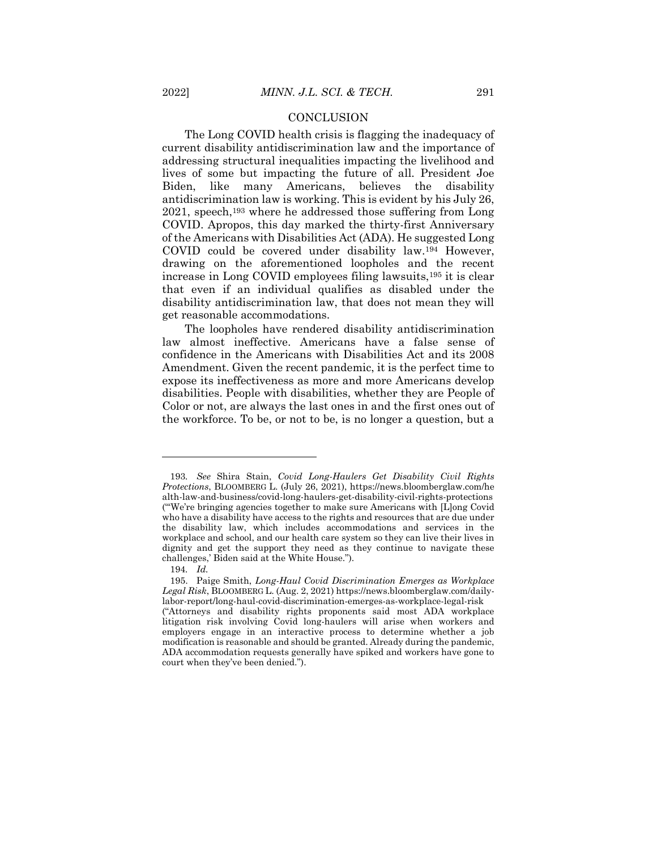#### **CONCLUSION**

The Long COVID health crisis is flagging the inadequacy of current disability antidiscrimination law and the importance of addressing structural inequalities impacting the livelihood and lives of some but impacting the future of all. President Joe Biden, like many Americans, believes the disability antidiscrimination law is working. This is evident by his July 26, 2021, speech, <sup>193</sup> where he addressed those suffering from Long COVID. Apropos, this day marked the thirty-first Anniversary of the Americans with Disabilities Act (ADA). He suggested Long COVID could be covered under disability law.<sup>194</sup> However, drawing on the aforementioned loopholes and the recent increase in Long COVID employees filing lawsuits,<sup>195</sup> it is clear that even if an individual qualifies as disabled under the disability antidiscrimination law, that does not mean they will get reasonable accommodations.

The loopholes have rendered disability antidiscrimination law almost ineffective. Americans have a false sense of confidence in the Americans with Disabilities Act and its 2008 Amendment. Given the recent pandemic, it is the perfect time to expose its ineffectiveness as more and more Americans develop disabilities. People with disabilities, whether they are People of Color or not, are always the last ones in and the first ones out of the workforce. To be, or not to be, is no longer a question, but a

<sup>193</sup>*. See* Shira Stain, *Covid Long-Haulers Get Disability Civil Rights Protections*, BLOOMBERG L. (July 26, 2021), https://news.bloomberglaw.com/he alth-law-and-business/covid-long-haulers-get-disability-civil-rights-protections ("'We're bringing agencies together to make sure Americans with [L]ong Covid who have a disability have access to the rights and resources that are due under the disability law, which includes accommodations and services in the workplace and school, and our health care system so they can live their lives in dignity and get the support they need as they continue to navigate these challenges,' Biden said at the White House.").

<sup>194</sup>*. Id.*

<sup>195.</sup> Paige Smith, *Long-Haul Covid Discrimination Emerges as Workplace Legal Risk*, BLOOMBERG L. (Aug. 2, 2021) https://news.bloomberglaw.com/dailylabor-report/long-haul-covid-discrimination-emerges-as-workplace-legal-risk ("Attorneys and disability rights proponents said most ADA workplace litigation risk involving Covid long-haulers will arise when workers and employers engage in an interactive process to determine whether a job modification is reasonable and should be granted. Already during the pandemic, ADA accommodation requests generally have spiked and workers have gone to court when they've been denied.").